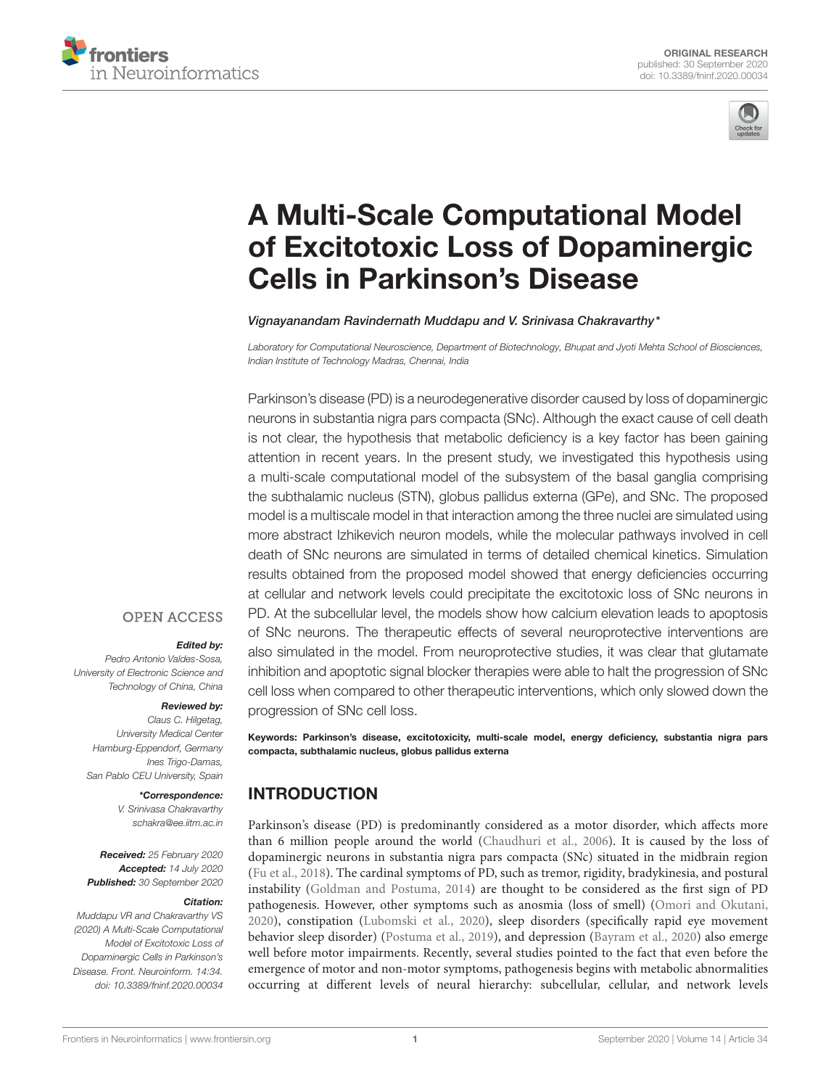



# A Multi-Scale Computational Model of Excitotoxic Loss of Dopaminergic Cells in Parkinson's Disease

Vignayanandam Ravindernath Muddapu and V. Srinivasa Chakravarthy\*

*Laboratory for Computational Neuroscience, Department of Biotechnology, Bhupat and Jyoti Mehta School of Biosciences, Indian Institute of Technology Madras, Chennai, India*

Parkinson's disease (PD) is a neurodegenerative disorder caused by loss of dopaminergic neurons in substantia nigra pars compacta (SNc). Although the exact cause of cell death is not clear, the hypothesis that metabolic deficiency is a key factor has been gaining attention in recent years. In the present study, we investigated this hypothesis using a multi-scale computational model of the subsystem of the basal ganglia comprising the subthalamic nucleus (STN), globus pallidus externa (GPe), and SNc. The proposed model is a multiscale model in that interaction among the three nuclei are simulated using more abstract Izhikevich neuron models, while the molecular pathways involved in cell death of SNc neurons are simulated in terms of detailed chemical kinetics. Simulation results obtained from the proposed model showed that energy deficiencies occurring at cellular and network levels could precipitate the excitotoxic loss of SNc neurons in PD. At the subcellular level, the models show how calcium elevation leads to apoptosis of SNc neurons. The therapeutic effects of several neuroprotective interventions are also simulated in the model. From neuroprotective studies, it was clear that glutamate inhibition and apoptotic signal blocker therapies were able to halt the progression of SNc cell loss when compared to other therapeutic interventions, which only slowed down the progression of SNc cell loss.

**OPEN ACCESS** 

#### Edited by:

*Pedro Antonio Valdes-Sosa, University of Electronic Science and Technology of China, China*

### Reviewed by:

*Claus C. Hilgetag, University Medical Center Hamburg-Eppendorf, Germany Ines Trigo-Damas, San Pablo CEU University, Spain*

#### \*Correspondence:

*V. Srinivasa Chakravarthy schakra@ee.iitm.ac.in*

Received: *25 February 2020* Accepted: *14 July 2020* Published: *30 September 2020*

#### Citation:

*Muddapu VR and Chakravarthy VS (2020) A Multi-Scale Computational Model of Excitotoxic Loss of Dopaminergic Cells in Parkinson's Disease. Front. Neuroinform. 14:34. doi: 10.3389/fninf.2020.00034*

Keywords: Parkinson's disease, excitotoxicity, multi-scale model, energy deficiency, substantia nigra pars compacta, subthalamic nucleus, globus pallidus externa

# INTRODUCTION

Parkinson's disease (PD) is predominantly considered as a motor disorder, which affects more than 6 million people around the world (Chaudhuri et al., 2006). It is caused by the loss of dopaminergic neurons in substantia nigra pars compacta (SNc) situated in the midbrain region (Fu et al., 2018). The cardinal symptoms of PD, such as tremor, rigidity, bradykinesia, and postural instability (Goldman and Postuma, 2014) are thought to be considered as the first sign of PD pathogenesis. However, other symptoms such as anosmia (loss of smell) (Omori and Okutani, 2020), constipation (Lubomski et al., 2020), sleep disorders (specifically rapid eye movement behavior sleep disorder) (Postuma et al., 2019), and depression (Bayram et al., 2020) also emerge well before motor impairments. Recently, several studies pointed to the fact that even before the emergence of motor and non-motor symptoms, pathogenesis begins with metabolic abnormalities occurring at different levels of neural hierarchy: subcellular, cellular, and network levels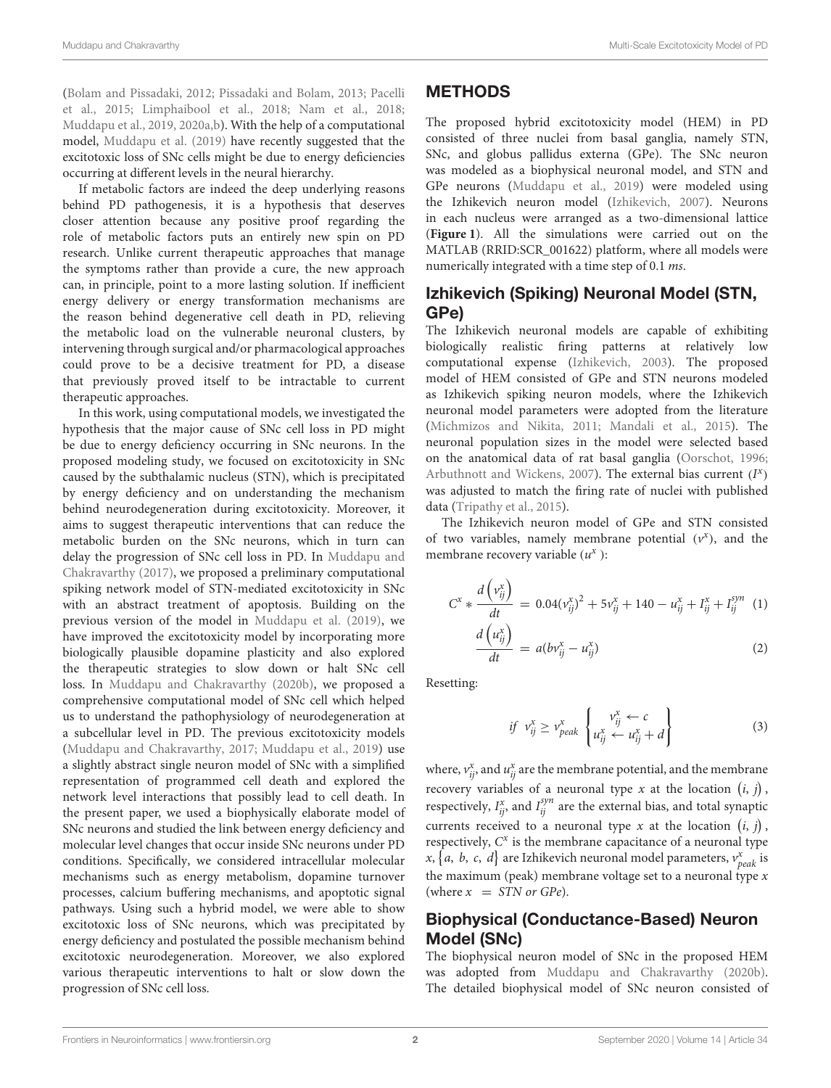(Bolam and Pissadaki, 2012; Pissadaki and Bolam, 2013; Pacelli et al., 2015; Limphaibool et al., 2018; Nam et al., 2018; Muddapu et al., 2019, 2020a,b). With the help of a computational model, Muddapu et al. (2019) have recently suggested that the excitotoxic loss of SNc cells might be due to energy deficiencies occurring at different levels in the neural hierarchy.

If metabolic factors are indeed the deep underlying reasons behind PD pathogenesis, it is a hypothesis that deserves closer attention because any positive proof regarding the role of metabolic factors puts an entirely new spin on PD research. Unlike current therapeutic approaches that manage the symptoms rather than provide a cure, the new approach can, in principle, point to a more lasting solution. If inefficient energy delivery or energy transformation mechanisms are the reason behind degenerative cell death in PD, relieving the metabolic load on the vulnerable neuronal clusters, by intervening through surgical and/or pharmacological approaches could prove to be a decisive treatment for PD, a disease that previously proved itself to be intractable to current therapeutic approaches.

In this work, using computational models, we investigated the hypothesis that the major cause of SNc cell loss in PD might be due to energy deficiency occurring in SNc neurons. In the proposed modeling study, we focused on excitotoxicity in SNc caused by the subthalamic nucleus (STN), which is precipitated by energy deficiency and on understanding the mechanism behind neurodegeneration during excitotoxicity. Moreover, it aims to suggest therapeutic interventions that can reduce the metabolic burden on the SNc neurons, which in turn can delay the progression of SNc cell loss in PD. In Muddapu and Chakravarthy (2017), we proposed a preliminary computational spiking network model of STN-mediated excitotoxicity in SNc with an abstract treatment of apoptosis. Building on the previous version of the model in Muddapu et al. (2019), we have improved the excitotoxicity model by incorporating more biologically plausible dopamine plasticity and also explored the therapeutic strategies to slow down or halt SNc cell loss. In Muddapu and Chakravarthy (2020b), we proposed a comprehensive computational model of SNc cell which helped us to understand the pathophysiology of neurodegeneration at a subcellular level in PD. The previous excitotoxicity models (Muddapu and Chakravarthy, 2017; Muddapu et al., 2019) use a slightly abstract single neuron model of SNc with a simplified representation of programmed cell death and explored the network level interactions that possibly lead to cell death. In the present paper, we used a biophysically elaborate model of SNc neurons and studied the link between energy deficiency and molecular level changes that occur inside SNc neurons under PD conditions. Specifically, we considered intracellular molecular mechanisms such as energy metabolism, dopamine turnover processes, calcium buffering mechanisms, and apoptotic signal pathways. Using such a hybrid model, we were able to show excitotoxic loss of SNc neurons, which was precipitated by energy deficiency and postulated the possible mechanism behind excitotoxic neurodegeneration. Moreover, we also explored various therapeutic interventions to halt or slow down the progression of SNc cell loss.

### **METHODS**

The proposed hybrid excitotoxicity model (HEM) in PD consisted of three nuclei from basal ganglia, namely STN, SNc, and globus pallidus externa (GPe). The SNc neuron was modeled as a biophysical neuronal model, and STN and GPe neurons (Muddapu et al., 2019) were modeled using the Izhikevich neuron model (Izhikevich, 2007). Neurons in each nucleus were arranged as a two-dimensional lattice (**Figure 1**). All the simulations were carried out on the MATLAB (RRID:SCR\_001622) platform, where all models were numerically integrated with a time step of 0.1 ms.

# Izhikevich (Spiking) Neuronal Model (STN, GPe)

The Izhikevich neuronal models are capable of exhibiting biologically realistic firing patterns at relatively low computational expense (Izhikevich, 2003). The proposed model of HEM consisted of GPe and STN neurons modeled as Izhikevich spiking neuron models, where the Izhikevich neuronal model parameters were adopted from the literature (Michmizos and Nikita, 2011; Mandali et al., 2015). The neuronal population sizes in the model were selected based on the anatomical data of rat basal ganglia (Oorschot, 1996; Arbuthnott and Wickens, 2007). The external bias current  $(I^x)$ was adjusted to match the firing rate of nuclei with published data (Tripathy et al., 2015).

The Izhikevich neuron model of GPe and STN consisted of two variables, namely membrane potential  $(v^x)$ , and the membrane recovery variable  $(u^x)$ :

$$
C^{x} * \frac{d\left(v_{ij}^{x}\right)}{dt} = 0.04(v_{ij}^{x})^{2} + 5v_{ij}^{x} + 140 - u_{ij}^{x} + I_{ij}^{x} + I_{ij}^{syn} \tag{1}
$$

$$
d\left(u_{ij}^{x}\right) = 0.1 x + Y_{ij}^{x}
$$

$$
\frac{u(u_{ij})}{dt} = a(bv_{ij}^x - u_{ij}^x)
$$
 (2)

Resetting:

$$
if \t v_{ij}^x \geq v_{peak}^x \t \begin{cases} v_{ij}^x \leftarrow c \\ u_{ij}^x \leftarrow u_{ij}^x + d \end{cases}
$$
 (3)

where,  $v_{ij}^x$ , and  $u_{ij}^x$  are the membrane potential, and the membrane recovery variables of a neuronal type x at the location  $(i, j)$ , respectively,  $I_{ij}^x$ , and  $I_{ij}^{syn}$  are the external bias, and total synaptic currents received to a neuronal type x at the location  $(i, j)$ , respectively,  $C^x$  is the membrane capacitance of a neuronal type x, {a, b, c, d} are Izhikevich neuronal model parameters,  $v_{peak}^x$  is the maximum (peak) membrane voltage set to a neuronal type  $\boldsymbol{x}$ (where  $x = STN$  or  $GPe$ ).

# Biophysical (Conductance-Based) Neuron Model (SNc)

The biophysical neuron model of SNc in the proposed HEM was adopted from Muddapu and Chakravarthy (2020b). The detailed biophysical model of SNc neuron consisted of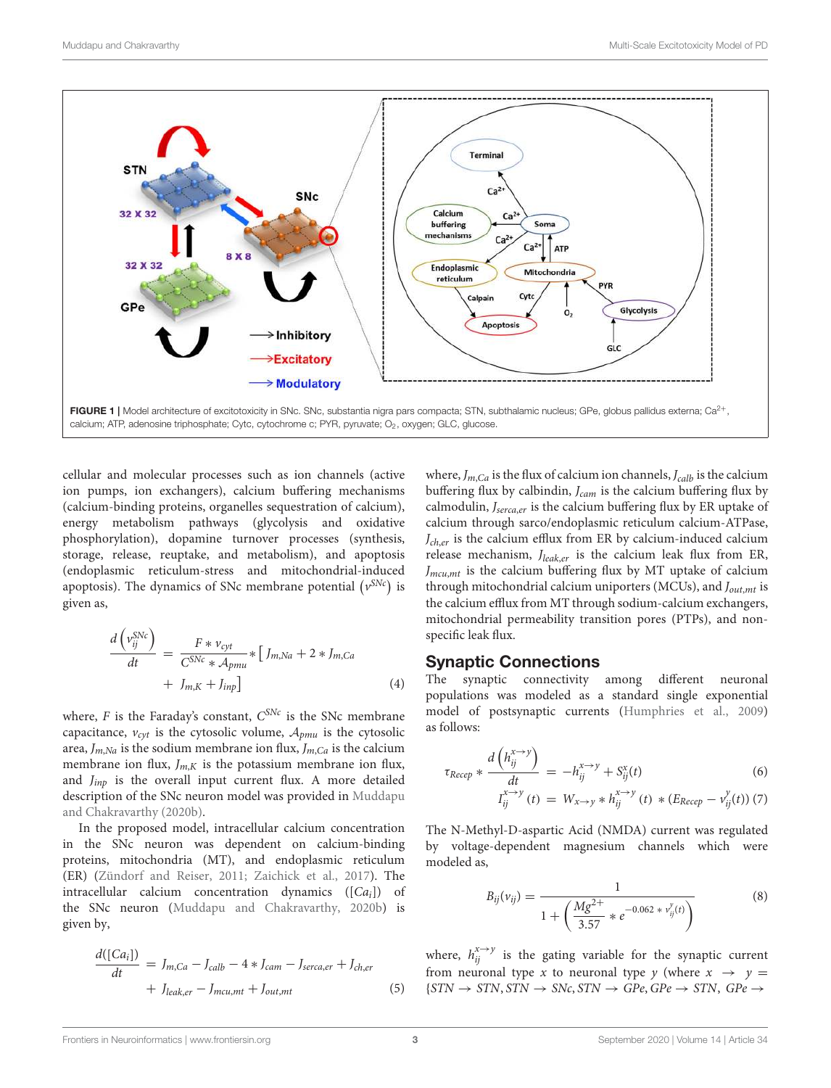

cellular and molecular processes such as ion channels (active ion pumps, ion exchangers), calcium buffering mechanisms (calcium-binding proteins, organelles sequestration of calcium), energy metabolism pathways (glycolysis and oxidative phosphorylation), dopamine turnover processes (synthesis, storage, release, reuptake, and metabolism), and apoptosis (endoplasmic reticulum-stress and mitochondrial-induced apoptosis). The dynamics of SNc membrane potential  $(v^{SNe})$  is given as,

$$
\frac{d\left(v_{ij}^{SNe}\right)}{dt} = \frac{F * v_{cyt}}{C^{SNe} * A_{pm}} * [J_{m,Na} + 2 * J_{m,Ca} + J_{m,K} + J_{inp}]
$$
\n(4)

where, F is the Faraday's constant,  $C^{SNe}$  is the SNc membrane capacitance,  $v_{cyt}$  is the cytosolic volume,  $A_{pmu}$  is the cytosolic area,  $J_{m,N_a}$  is the sodium membrane ion flux,  $J_{m,Ca}$  is the calcium membrane ion flux,  $J_{m,K}$  is the potassium membrane ion flux, and  $J_{inp}$  is the overall input current flux. A more detailed description of the SNc neuron model was provided in Muddapu and Chakravarthy (2020b).

In the proposed model, intracellular calcium concentration in the SNc neuron was dependent on calcium-binding proteins, mitochondria (MT), and endoplasmic reticulum (ER) (Zündorf and Reiser, 2011; Zaichick et al., 2017). The intracellular calcium concentration dynamics  $([Ca<sub>i</sub>])$  of the SNc neuron (Muddapu and Chakravarthy, 2020b) is given by,

$$
\frac{d([Ca_i])}{dt} = J_{m,Ca} - J_{calb} - 4 * J_{cam} - J_{serca,er} + J_{ch,er}
$$

$$
+ J_{leak,er} - J_{mcu,mt} + J_{out,mt}
$$
(5)

where,  $J_{m,Ca}$  is the flux of calcium ion channels,  $J_{calb}$  is the calcium buffering flux by calbindin,  $J_{cam}$  is the calcium buffering flux by calmodulin,  $J_{\text{serca,er}}$  is the calcium buffering flux by ER uptake of calcium through sarco/endoplasmic reticulum calcium-ATPase,  $J_{ch,er}$  is the calcium efflux from ER by calcium-induced calcium release mechanism,  $J_{leaker}$  is the calcium leak flux from ER,  $J_{mcu,mt}$  is the calcium buffering flux by MT uptake of calcium through mitochondrial calcium uniporters (MCUs), and  $J_{out,mt}$  is the calcium efflux from MT through sodium-calcium exchangers, mitochondrial permeability transition pores (PTPs), and nonspecific leak flux.

### Synaptic Connections

The synaptic connectivity among different neuronal populations was modeled as a standard single exponential model of postsynaptic currents (Humphries et al., 2009) as follows:

$$
\tau_{Recep} * \frac{d\left(h_{ij}^{x \to y}\right)}{dt} = -h_{ij}^{x \to y} + S_{ij}^x(t) \tag{6}
$$
  

$$
I_{ij}^{x \to y} (t) = W_{x \to y} * h_{ij}^{x \to y} (t) * (E_{Recep} - v_{ij}^y(t)) (7)
$$

The N-Methyl-D-aspartic Acid (NMDA) current was regulated by voltage-dependent magnesium channels which were modeled as,

$$
B_{ij}(v_{ij}) = \frac{1}{1 + \left(\frac{Mg^{2+}}{3.57} * e^{-0.062 * v_{ij}^y(t)}\right)}
$$
(8)

where,  $h_{ij}^{x \to y}$  is the gating variable for the synaptic current from neuronal type x to neuronal type y (where  $x \rightarrow y =$  $\{STN \rightarrow STN, STN \rightarrow SNC, STN \rightarrow GPe, GPe \rightarrow STN, GPe \rightarrow$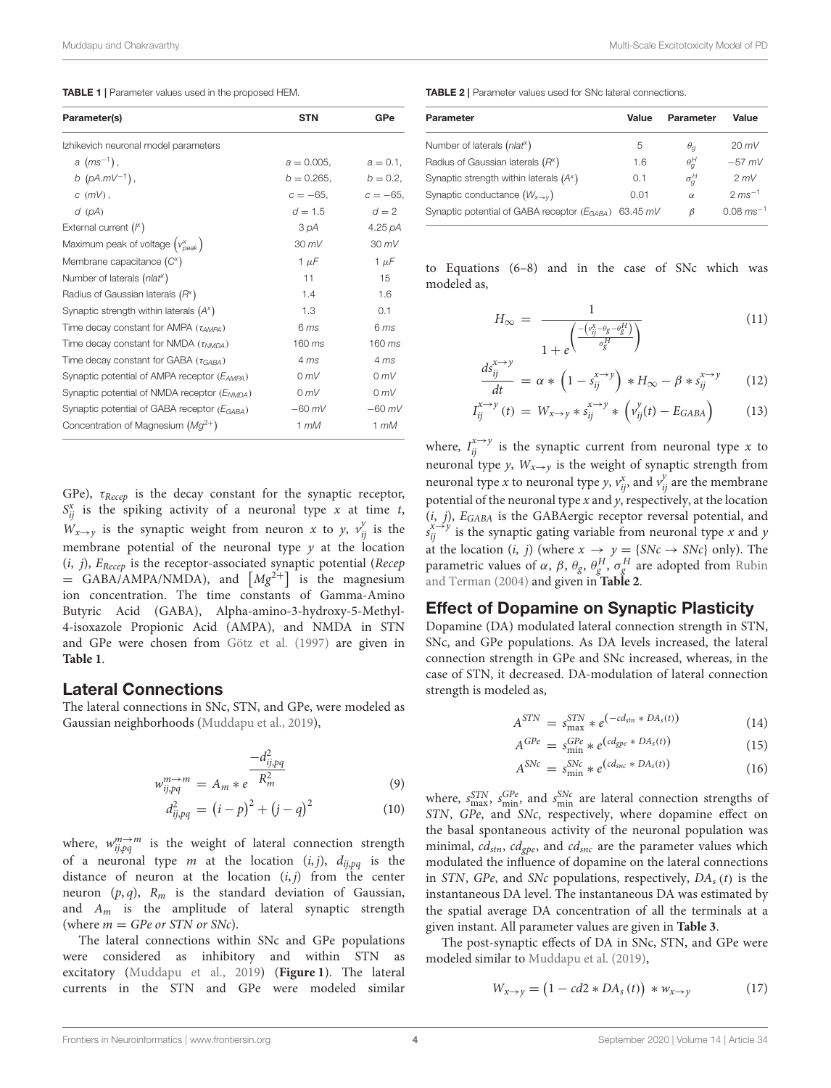| <b>TABLE 1</b>   Parameter values used in the proposed HEM. |  |
|-------------------------------------------------------------|--|
|-------------------------------------------------------------|--|

| <b>STN</b>    | GPe               |
|---------------|-------------------|
|               |                   |
| $a = 0.005$ , | $a = 0.1$         |
| $b = 0.265$ , | $b = 0.2$ .       |
| $c = -65$     | $c = -65.$        |
| $d = 1.5$     | $d = 2$           |
| 3 pA          | 4.25 pA           |
| $30 \, mV$    | $30 \, \text{mV}$ |
| $1 \mu F$     | $1 \mu F$         |
| 11            | 15                |
| 1.4           | 1.6               |
| 1.3           | 0.1               |
| 6 ms          | 6 ms              |
| $160$ ms      | $160$ ms          |
| 4 ms          | 4 ms              |
| $0 \, mV$     | $0 \,$ m $V$      |
| $0 \, mV$     | $0 \,$ m $V$      |
| $-60$ mV      | $-60$ mV          |
| $1 \, mM$     | $1 \, mM$         |
|               |                   |

GPe),  $\tau_{Recep}$  is the decay constant for the synaptic receptor,  $S_{ij}^x$  is the spiking activity of a neuronal type x at time t,  $W_{x\rightarrow y}$  is the synaptic weight from neuron x to y,  $v_{ij}^y$  is the membrane potential of the neuronal type  $y$  at the location  $(i, j)$ ,  $E_{Recep}$  is the receptor-associated synaptic potential (Recep  $= GAMA/AMPA/NMDA$ , and  $[Mg^{2+}]$  is the magnesium ion concentration. The time constants of Gamma-Amino Butyric Acid (GABA), Alpha-amino-3-hydroxy-5-Methyl-4-isoxazole Propionic Acid (AMPA), and NMDA in STN and GPe were chosen from Götz et al. (1997) are given in **Table 1**.

### Lateral Connections

The lateral connections in SNc, STN, and GPe, were modeled as Gaussian neighborhoods (Muddapu et al., 2019),

$$
w_{ij,pq}^{m \to m} = A_m * e^{-\frac{-d_{ij,pq}^2}{R_m^2}}
$$
\n(9)

$$
d_{ij,pq}^2 = (i - p)^2 + (j - q)^2 \tag{10}
$$

where,  $w_{ij,pq}^{m\rightarrow m}$  is the weight of lateral connection strength of a neuronal type m at the location  $(i, j)$ ,  $d_{ij,pq}$  is the distance of neuron at the location  $(i, j)$  from the center neuron  $(p, q)$ ,  $R_m$  is the standard deviation of Gaussian, and  $A_m$  is the amplitude of lateral synaptic strength (where  $m = GPe$  or STN or SNc).

The lateral connections within SNc and GPe populations were considered as inhibitory and within STN as excitatory (Muddapu et al., 2019) (**Figure 1**). The lateral currents in the STN and GPe were modeled similar

TABLE 2 | Parameter values used for SNc lateral connections.

| Parameter                                     | Value         | Parameter    | Value                    |
|-----------------------------------------------|---------------|--------------|--------------------------|
| Number of laterals (nlat <sup>x</sup> )       | 5             | $\theta_q$   | $20 \, \text{mV}$        |
| Radius of Gaussian laterals $(R^x)$           | 1.6           | $\theta_q^H$ | $-57$ mV                 |
| Synaptic strength within laterals $(A^x)$     | 0.1           | $\sigma_q^H$ | $2$ mV                   |
| Synaptic conductance $(W_{x\rightarrow y})$   | 0.01          | $\alpha$     | $2 \text{ ms}^{-1}$      |
| Synaptic potential of GABA receptor $(EGABA)$ | $63.45 \, mV$ | β            | $0.08 \, \text{ms}^{-1}$ |

to Equations (6–8) and in the case of SNc which was modeled as,

$$
H_{\infty} = \frac{1}{1 + e^{\left(\frac{-\left(v_{ij}^x - \theta_g - \theta_g^H\right)}{\sigma_g^H}\right)}}\tag{11}
$$

$$
\frac{ds_{ij}^{x \to y}}{dt} = \alpha * \left(1 - s_{ij}^{x \to y}\right) * H_{\infty} - \beta * s_{ij}^{x \to y}
$$
 (12)

$$
I_{ij}^{x \to y}(t) = W_{x \to y} * s_{ij}^{x \to y} * \left(v_{ij}^{y}(t) - E_{GABA}\right)
$$
 (13)

where,  $I_{ij}^{x \to y}$  is the synaptic current from neuronal type x to neuronal type y,  $W_{x\rightarrow y}$  is the weight of synaptic strength from neuronal type *x* to neuronal type *y*,  $v_{ij}^x$ , and  $v_{ij}^y$  are the membrane potential of the neuronal type  $x$  and  $y$ , respectively, at the location  $(i, j)$ ,  $E_{GABA}$  is the GABAergic receptor reversal potential, and  $s_{ii} \xrightarrow{s_{ii}}$  $\mathcal{F}'$  is the synaptic gating variable from neuronal type x and y at the location  $(i, j)$  (where  $x \rightarrow y = \{S N c \rightarrow S N c\}$  only). The parametric values of α,  $\beta$ ,  $\theta_g$ ,  $\theta_g^H$ ,  $\sigma_g^H$  are adopted from Rubin and Terman (2004) and given in **Table 2**.

### Effect of Dopamine on Synaptic Plasticity

Dopamine (DA) modulated lateral connection strength in STN, SNc, and GPe populations. As DA levels increased, the lateral connection strength in GPe and SNc increased, whereas, in the case of STN, it decreased. DA-modulation of lateral connection strength is modeled as,

$$
A^{STN} = s_{\text{max}}^{STN} * e^{(-cd_{\text{stn}} * DA_s(t))}
$$
(14)

$$
A^{GPe} = s_{\min}^{GPe} * e^{(cd_{gpe} * DA_s(t))}
$$
\n(15)

$$
A^{SNe} = s_{\min}^{SNe} * e^{(cd_{snc} * DA_s(t))}
$$
(16)

where, 
$$
s_{\text{max}}^{STN}
$$
,  $s_{\text{min}}^{GP}$ , and  $s_{\text{min}}^{SNC}$  are lateral connection strengths of STN, *GPe*, and *SNC*, respectively, where dopamine effect on the basal spontaneous activity of the neuronal population was minimal, *cd<sub>stn</sub>*, *cd<sub>gpe</sub>*, and *cd<sub>snc</sub>* are the parameter values which modulated the influence of dopamine on the lateral connections in STN, *GPe*, and *SNC* populations, respectively, *DA<sub>s</sub>* (*t*) is the instantaneous DA level. The instantaneous DA was estimated by the spatial average DA concentration of all the terminals at a

given instant. All parameter values are given in **Table 3**. The post-synaptic effects of DA in SNc, STN, and GPe were modeled similar to Muddapu et al. (2019),

$$
W_{x \to y} = (1 - cd2 * DAs (t)) * w_{x \to y}
$$
 (17)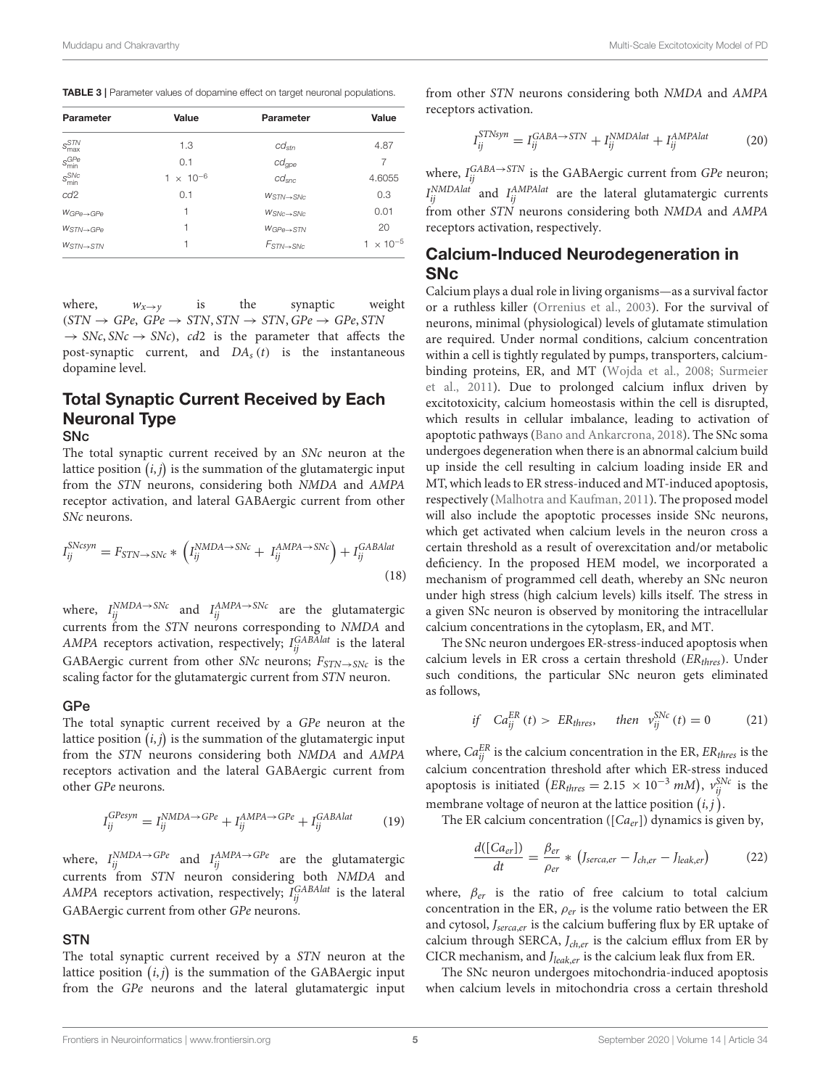TABLE 3 | Parameter values of dopamine effect on target neuronal populations.

| Parameter                     | Value              | Parameter                 | Value              |
|-------------------------------|--------------------|---------------------------|--------------------|
| $S_{\text{max}}^{\text{STN}}$ | 1.3                | $cd_{stn}$                | 4.87               |
| $S_{\text{min}}^{GPe}$        | 0.1                | $cd_{qpe}$                | 7                  |
| $S_{\text{min}}^{SNC}$        | $1 \times 10^{-6}$ | cd <sub>snc</sub>         | 4.6055             |
| cd2                           | 0.1                | $WSTN \rightarrow SNC$    | 0.3                |
| $WGPe \rightarrow GPe$        | 1                  | $W_{SNC\rightarrow SNC}$  | 0.01               |
| $WSTN \rightarrow GPe$        |                    | $WGPe \rightarrow STN$    | 20                 |
| $WSTN \rightarrow STN$        | 1                  | $F_{STN \rightarrow SNC}$ | $1 \times 10^{-5}$ |

where,  $w_{x\to y}$  is the synaptic weight  $(STN \rightarrow GPe, GPe \rightarrow STN, STN \rightarrow STN, GPe \rightarrow GPe, STN$  $\rightarrow$  SNc, SNc  $\rightarrow$  SNc), cd2 is the parameter that affects the post-synaptic current, and  $DA<sub>s</sub>(t)$  is the instantaneous dopamine level.

# Total Synaptic Current Received by Each Neuronal Type

#### **SNc**

The total synaptic current received by an SNc neuron at the lattice position  $\left( i,j\right)$  is the summation of the glutamatergic input from the STN neurons, considering both NMDA and AMPA receptor activation, and lateral GABAergic current from other SNc neurons.

$$
I_{ij}^{S N c s y n} = F_{STN \to S N c} * \left( I_{ij}^{N M D A \to S N c} + I_{ij}^{A M P A \to S N c} \right) + I_{ij}^{G A B A l a t}
$$
\n(18)

where,  $I_{ij}^{NMDA \rightarrow SNe}$  and  $I_{ij}^{AMPA \rightarrow SNe}$  are the glutamatergic currents from the STN neurons corresponding to NMDA and AMPA receptors activation, respectively;  $I_{ij}^{GABAlat}$  is the lateral GABAergic current from other SNc neurons;  $F_{STN\rightarrow SNc}$  is the scaling factor for the glutamatergic current from STN neuron.

#### GPe

The total synaptic current received by a GPe neuron at the lattice position  $\left( i,j\right)$  is the summation of the glutamatergic input from the STN neurons considering both NMDA and AMPA receptors activation and the lateral GABAergic current from other GPe neurons.

$$
I_{ij}^{GPesyn} = I_{ij}^{NMDA \to GPe} + I_{ij}^{AMPA \to GPe} + I_{ij}^{GABAlat}
$$
 (19)

where,  $I_{ij}^{NMDA \rightarrow GPe}$  and  $I_{ij}^{AMPA \rightarrow GPe}$  are the glutamatergic currents from STN neuron considering both NMDA and AMPA receptors activation, respectively;  $I_{ij}^{GABAlat}$  is the lateral GABAergic current from other GPe neurons.

### **STN**

The total synaptic current received by a STN neuron at the lattice position  $\left( i,j\right)$  is the summation of the GABAergic input from the GPe neurons and the lateral glutamatergic input from other STN neurons considering both NMDA and AMPA receptors activation.

$$
I_{ij}^{STNsyn} = I_{ij}^{GABA \to STN} + I_{ij}^{NMDAlat} + I_{ij}^{AMPAlat}
$$
 (20)

where,  $I_{ij}^{GABA \rightarrow STN}$  is the GABAergic current from  $GPe$  neuron;  $I_{ij}^{NMDAlat}$  and  $I_{ij}^{AMPAlat}$  are the lateral glutamatergic currents from other STN neurons considering both NMDA and AMPA receptors activation, respectively.

### Calcium-Induced Neurodegeneration in **SNc**

Calcium plays a dual role in living organisms—as a survival factor or a ruthless killer (Orrenius et al., 2003). For the survival of neurons, minimal (physiological) levels of glutamate stimulation are required. Under normal conditions, calcium concentration within a cell is tightly regulated by pumps, transporters, calciumbinding proteins, ER, and MT (Wojda et al., 2008; Surmeier et al., 2011). Due to prolonged calcium influx driven by excitotoxicity, calcium homeostasis within the cell is disrupted, which results in cellular imbalance, leading to activation of apoptotic pathways (Bano and Ankarcrona, 2018). The SNc soma undergoes degeneration when there is an abnormal calcium build up inside the cell resulting in calcium loading inside ER and MT, which leads to ER stress-induced and MT-induced apoptosis, respectively (Malhotra and Kaufman, 2011). The proposed model will also include the apoptotic processes inside SNc neurons, which get activated when calcium levels in the neuron cross a certain threshold as a result of overexcitation and/or metabolic deficiency. In the proposed HEM model, we incorporated a mechanism of programmed cell death, whereby an SNc neuron under high stress (high calcium levels) kills itself. The stress in a given SNc neuron is observed by monitoring the intracellular calcium concentrations in the cytoplasm, ER, and MT.

The SNc neuron undergoes ER-stress-induced apoptosis when calcium levels in ER cross a certain threshold  $(ER<sub>thres</sub>)$ . Under such conditions, the particular SNc neuron gets eliminated as follows,

$$
if \quad Ca_{ij}^{ER}(t) > ER_{thres}, \quad then \quad v_{ij}^{SNe}(t) = 0 \tag{21}
$$

where,  $Ca_{ij}^{ER}$  is the calcium concentration in the ER,  $ER_{thres}$  is the calcium concentration threshold after which ER-stress induced apoptosis is initiated  $\left( ER_{thres} = 2.15 \times 10^{-3} \text{ mM} \right)$ ,  $v_{ij}^{SNe}$  is the membrane voltage of neuron at the lattice position  $(i, j)$ .

The ER calcium concentration ( $[Ca_{er}]$ ) dynamics is given by,

$$
\frac{d([Ca_{er}])}{dt} = \frac{\beta_{er}}{\rho_{er}} * (J_{serca,er} - J_{ch,er} - J_{leak,er})
$$
 (22)

where,  $\beta_{er}$  is the ratio of free calcium to total calcium concentration in the ER,  $\rho_{er}$  is the volume ratio between the ER and cytosol,  $J_{\text{serca,er}}$  is the calcium buffering flux by ER uptake of calcium through SERCA,  $J_{ch,er}$  is the calcium efflux from ER by CICR mechanism, and  $J_{leak,er}$  is the calcium leak flux from ER.

The SNc neuron undergoes mitochondria-induced apoptosis when calcium levels in mitochondria cross a certain threshold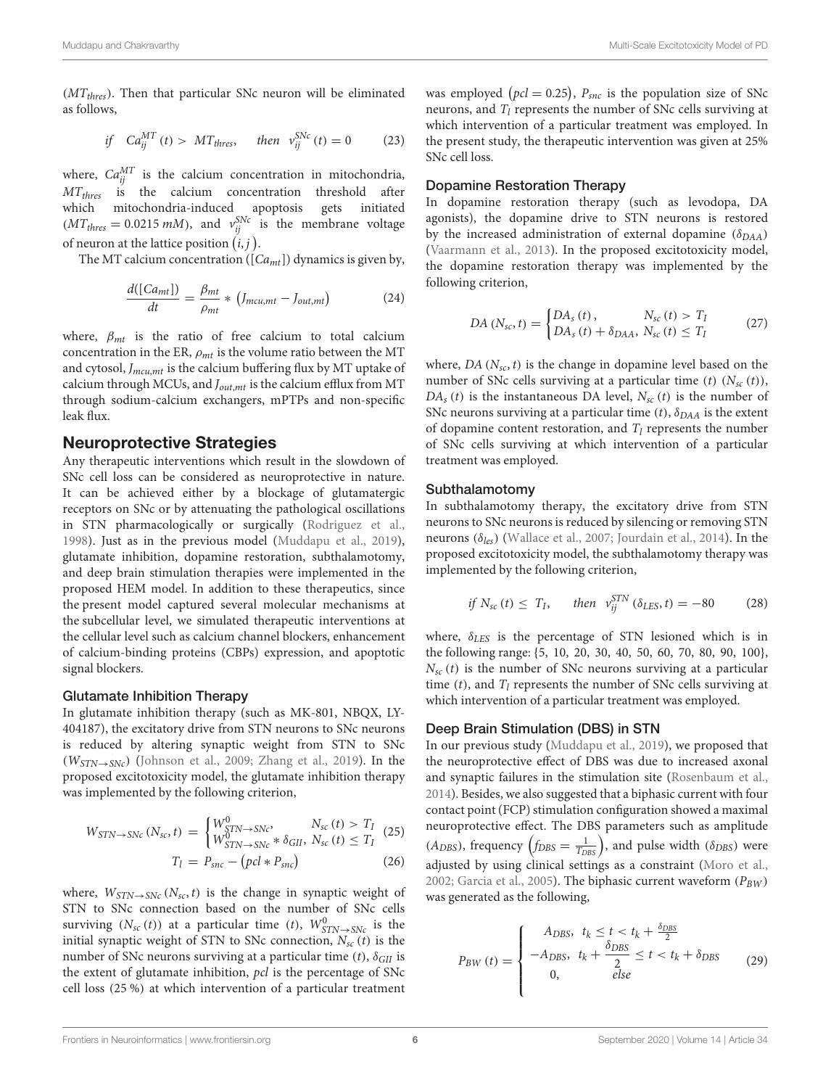$(MT<sub>thres</sub>)$ . Then that particular SNc neuron will be eliminated as follows,

$$
if \quad Ca_{ij}^{MT}(t) > MT_{thres}, \quad then \quad v_{ij}^{SNC}(t) = 0 \tag{23}
$$

where,  $Ca_{ij}^{MT}$  is the calcium concentration in mitochondria,  $MT_{thres}$  is the calcium concentration threshold after which mitochondria-induced apoptosis gets initiated which mitochondria-induced apoptosis gets initiated  $(MT_{thres} = 0.0215 \text{ mM})$ , and  $v_{ij}^{SNe}$  is the membrane voltage of neuron at the lattice position  $(i, j)$ .

The MT calcium concentration ( $[Ca<sub>mt</sub>]$ ) dynamics is given by,

$$
\frac{d([Ca_{mt}])}{dt} = \frac{\beta_{mt}}{\rho_{mt}} * (J_{mcu,mt} - J_{out,mt})
$$
 (24)

where,  $\beta_{mt}$  is the ratio of free calcium to total calcium concentration in the ER,  $\rho_{mt}$  is the volume ratio between the MT and cytosol,  $J_{mcu,mt}$  is the calcium buffering flux by MT uptake of calcium through MCUs, and  $J_{out,mt}$  is the calcium efflux from MT through sodium-calcium exchangers, mPTPs and non-specific leak flux.

### Neuroprotective Strategies

Any therapeutic interventions which result in the slowdown of SNc cell loss can be considered as neuroprotective in nature. It can be achieved either by a blockage of glutamatergic receptors on SNc or by attenuating the pathological oscillations in STN pharmacologically or surgically (Rodriguez et al., 1998). Just as in the previous model (Muddapu et al., 2019), glutamate inhibition, dopamine restoration, subthalamotomy, and deep brain stimulation therapies were implemented in the proposed HEM model. In addition to these therapeutics, since the present model captured several molecular mechanisms at the subcellular level, we simulated therapeutic interventions at the cellular level such as calcium channel blockers, enhancement of calcium-binding proteins (CBPs) expression, and apoptotic signal blockers.

#### Glutamate Inhibition Therapy

In glutamate inhibition therapy (such as MK-801, NBQX, LY-404187), the excitatory drive from STN neurons to SNc neurons is reduced by altering synaptic weight from STN to SNc  $(W_{STN\rightarrow SNe})$  (Johnson et al., 2009; Zhang et al., 2019). In the proposed excitotoxicity model, the glutamate inhibition therapy was implemented by the following criterion,

$$
W_{STN\rightarrow SNc} (N_{sc}, t) =\begin{cases} W_{STN\rightarrow SNc}^{0} & N_{sc}(t) > T_I\\ W_{STN\rightarrow SNc}^{0} * \delta_{GII}, N_{sc}(t) \le T_I \end{cases}
$$
 (25)  

$$
T_l = P_{snc} - (pcl * P_{snc})
$$
 (26)

where,  $W_{STN\rightarrow SNc}$  ( $N_{sc}$ , t) is the change in synaptic weight of STN to SNc connection based on the number of SNc cells surviving  $(N_{sc}(t))$  at a particular time (t),  $W_{STN\rightarrow SNc}^{0}$  is the initial synaptic weight of STN to SNc connection,  $N_{sc}$  (t) is the number of SNc neurons surviving at a particular time  $(t)$ ,  $\delta$ <sub>GII</sub> is the extent of glutamate inhibition, pcl is the percentage of SNc cell loss (25 %) at which intervention of a particular treatment

was employed ( $pcl = 0.25$ ),  $P_{\text{snc}}$  is the population size of SNc neurons, and  $T_l$  represents the number of SNc cells surviving at which intervention of a particular treatment was employed. In the present study, the therapeutic intervention was given at 25% SNc cell loss.

#### Dopamine Restoration Therapy

In dopamine restoration therapy (such as levodopa, DA agonists), the dopamine drive to STN neurons is restored by the increased administration of external dopamine ( $\delta_{DAA}$ ) (Vaarmann et al., 2013). In the proposed excitotoxicity model, the dopamine restoration therapy was implemented by the following criterion,

$$
DA (N_{sc}, t) = \begin{cases} DA_s (t), & N_{sc} (t) > T_I \\ DA_s (t) + \delta_{DAA}, & N_{sc} (t) \le T_I \end{cases}
$$
 (27)

where,  $DA(N_{sc}, t)$  is the change in dopamine level based on the number of SNc cells surviving at a particular time (t)  $(N_{sc}(t))$ ,  $DA<sub>s</sub>$  (t) is the instantaneous DA level,  $N<sub>sc</sub>$  (t) is the number of SNc neurons surviving at a particular time  $(t)$ ,  $\delta$ <sub>DAA</sub> is the extent of dopamine content restoration, and  $T_l$  represents the number of SNc cells surviving at which intervention of a particular treatment was employed.

#### Subthalamotomy

In subthalamotomy therapy, the excitatory drive from STN neurons to SNc neurons is reduced by silencing or removing STN neurons ( $\delta_{\text{Ies}}$ ) (Wallace et al., 2007; Jourdain et al., 2014). In the proposed excitotoxicity model, the subthalamotomy therapy was implemented by the following criterion,

if 
$$
N_{sc}(t) \leq T_I
$$
, then  $v_{ij}^{STN}(\delta_{LES}, t) = -80$  (28)

where,  $\delta_{LES}$  is the percentage of STN lesioned which is in the following range: {5, 10, 20, 30, 40, 50, 60, 70, 80, 90, 100},  $N_{\rm sc}$  (t) is the number of SNc neurons surviving at a particular time (*t*), and  $T_l$  represents the number of SNc cells surviving at which intervention of a particular treatment was employed.

#### Deep Brain Stimulation (DBS) in STN

In our previous study (Muddapu et al., 2019), we proposed that the neuroprotective effect of DBS was due to increased axonal and synaptic failures in the stimulation site (Rosenbaum et al., 2014). Besides, we also suggested that a biphasic current with four contact point (FCP) stimulation configuration showed a maximal neuroprotective effect. The DBS parameters such as amplitude ( $A_{DBS}$ ), frequency  $(f_{DBS} = \frac{1}{T_{DBS}})$ , and pulse width ( $\delta_{DBS}$ ) were adjusted by using clinical settings as a constraint (Moro et al., 2002; Garcia et al., 2005). The biphasic current waveform  $(P_{BW})$ was generated as the following,

$$
P_{BW}(t) = \begin{cases} A_{DBS}, & t_k \leq t < t_k + \frac{\delta_{DBS}}{2} \\ -A_{DBS}, & t_k + \frac{\delta_{DBS}}{2} \leq t < t_k + \delta_{DBS} \\ 0, & else \end{cases} \tag{29}
$$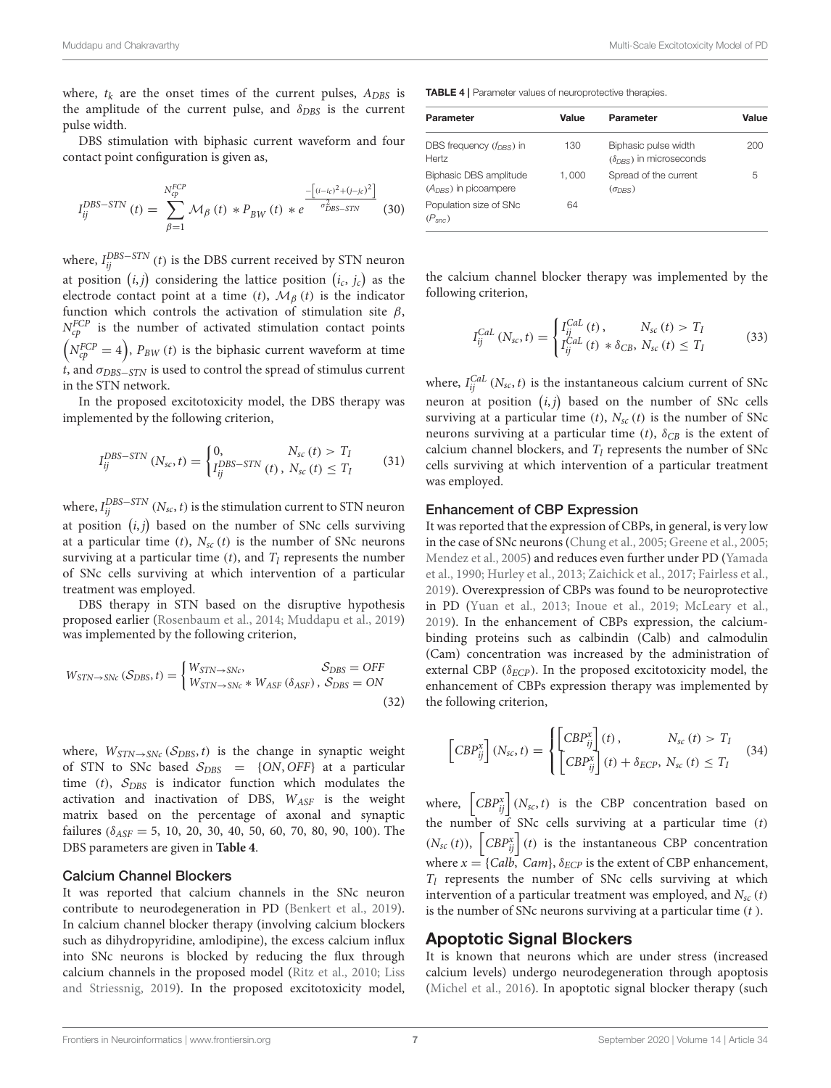where,  $t_k$  are the onset times of the current pulses,  $A_{DBS}$  is the amplitude of the current pulse, and  $\delta_{DBS}$  is the current pulse width.

DBS stimulation with biphasic current waveform and four contact point configuration is given as,

$$
I_{ij}^{DBS-STN}(t) = \sum_{\beta=1}^{N_{cp}^{FCP}} \mathcal{M}_{\beta}(t) * P_{BW}(t) * e^{-\frac{\left[ (i-i_{c})^{2} + (j-j_{c})^{2} \right]}{\sigma_{DBS-STN}^{2}}}
$$
(30)

where,  $I_{ij}^{DBS-STN}\left( t\right)$  is the DBS current received by STN neuron at position  $(i, j)$  considering the lattice position  $(i_c, j_c)$  as the electrode contact point at a time (t),  $\mathcal{M}_{\beta}(t)$  is the indicator function which controls the activation of stimulation site  $\beta$ ,  $N_{cp}^{FCP}$  is the number of activated stimulation contact points  $\left(N_{cp}^{FCP}=4\right)$ ,  $P_{BW}$  (t) is the biphasic current waveform at time t, and  $\sigma_{DBS-STN}$  is used to control the spread of stimulus current in the STN network.

In the proposed excitotoxicity model, the DBS therapy was implemented by the following criterion,

$$
I_{ij}^{DBS-STN} (N_{sc}, t) = \begin{cases} 0, & N_{sc}(t) > T_{I} \\ I_{ij}^{DBS-STN} (t), & N_{sc}(t) \le T_{I} \end{cases}
$$
(31)

where,  $I_{ij}^{DBS - STN}\left(N_{sc},t\right)$  is the stimulation current to STN neuron at position  $(i, j)$  based on the number of SNc cells surviving at a particular time  $(t)$ ,  $N_{sc}(t)$  is the number of SNc neurons surviving at a particular time  $(t)$ , and  $T_l$  represents the number of SNc cells surviving at which intervention of a particular treatment was employed.

DBS therapy in STN based on the disruptive hypothesis proposed earlier (Rosenbaum et al., 2014; Muddapu et al., 2019) was implemented by the following criterion,

$$
W_{STN \to SNC}(\mathcal{S}_{DBS}, t) = \begin{cases} W_{STN \to SNC}, & \mathcal{S}_{DBS} = OFF\\ W_{STN \to SNC} * W_{ASF}(\delta_{ASF}), & \mathcal{S}_{DBS} = ON \end{cases} \tag{32}
$$

where,  $W_{STN\rightarrow SNc}$  ( $S_{DBS}$ , t) is the change in synaptic weight of STN to SNc based  $S_{DBS}$  = {ON, OFF} at a particular time (t),  $S_{DBS}$  is indicator function which modulates the activation and inactivation of DBS, WASF is the weight matrix based on the percentage of axonal and synaptic failures ( $\delta_{ASF} = 5$ , 10, 20, 30, 40, 50, 60, 70, 80, 90, 100). The DBS parameters are given in **Table 4**.

#### Calcium Channel Blockers

It was reported that calcium channels in the SNc neuron contribute to neurodegeneration in PD (Benkert et al., 2019). In calcium channel blocker therapy (involving calcium blockers such as dihydropyridine, amlodipine), the excess calcium influx into SNc neurons is blocked by reducing the flux through calcium channels in the proposed model (Ritz et al., 2010; Liss and Striessnig, 2019). In the proposed excitotoxicity model,

TABLE 4 | Parameter values of neuroprotective therapies.

| Parameter                                           | Value | Parameter                                                       | Value |
|-----------------------------------------------------|-------|-----------------------------------------------------------------|-------|
| DBS frequency $(f_{\text{DRS}})$ in<br><b>Hertz</b> | 130   | Biphasic pulse width<br>$(\delta_{\text{DRS}})$ in microseconds | 200   |
| Biphasic DBS amplitude<br>$(ADRS)$ in picoampere    | 1.000 | Spread of the current<br>$(\sigma_{\text{DRS}})$                | 5     |
| Population size of SNc<br>$(P_{\text{snc}})$        | 64    |                                                                 |       |

the calcium channel blocker therapy was implemented by the following criterion,

$$
I_{ij}^{Cal} (N_{sc}, t) = \begin{cases} I_{ij}^{Cal} (t), & N_{sc} (t) > T_I \\ I_{ij}^{Cal} (t) * \delta_{CB}, & N_{sc} (t) \le T_I \end{cases}
$$
(33)

where,  $I_{ij}^{Cal}$  ( $N_{sc}$ , t) is the instantaneous calcium current of SNc neuron at position  $(i, j)$  based on the number of SNc cells surviving at a particular time  $(t)$ ,  $N_{sc}(t)$  is the number of SNc neurons surviving at a particular time (t),  $\delta_{CB}$  is the extent of calcium channel blockers, and  $T_l$  represents the number of SNc cells surviving at which intervention of a particular treatment was employed.

#### Enhancement of CBP Expression

It was reported that the expression of CBPs, in general, is very low in the case of SNc neurons (Chung et al., 2005; Greene et al., 2005; Mendez et al., 2005) and reduces even further under PD (Yamada et al., 1990; Hurley et al., 2013; Zaichick et al., 2017; Fairless et al., 2019). Overexpression of CBPs was found to be neuroprotective in PD (Yuan et al., 2013; Inoue et al., 2019; McLeary et al., 2019). In the enhancement of CBPs expression, the calciumbinding proteins such as calbindin (Calb) and calmodulin (Cam) concentration was increased by the administration of external CBP ( $\delta_{ECP}$ ). In the proposed excitotoxicity model, the enhancement of CBPs expression therapy was implemented by the following criterion,

$$
\begin{bmatrix} CBP_{ij}^{x} \end{bmatrix} (N_{sc}, t) = \begin{cases} \begin{bmatrix} CBP_{ij}^{x} \end{bmatrix} (t), & N_{sc} (t) > T_{I} \\ \begin{bmatrix} CBP_{ij}^{x} \end{bmatrix} (t) + \delta_{ECP}, & N_{sc} (t) \le T_{I} \end{cases}
$$
(34)

where,  $\left[CBP_{ij}^{x}\right]$  (N<sub>sc</sub>, t) is the CBP concentration based on the number of SNc cells surviving at a particular time  $(t)$  $(N_{sc}(t)), \left[CBP_{ij}^{x}\right](t)$  is the instantaneous CBP concentration where  $x = \{Calb, Cam\}$ ,  $\delta_{ECP}$  is the extent of CBP enhancement,  $T_l$  represents the number of SNc cells surviving at which intervention of a particular treatment was employed, and  $N_{sc}(t)$ is the number of SNc neurons surviving at a particular time  $(t)$ .

### Apoptotic Signal Blockers

It is known that neurons which are under stress (increased calcium levels) undergo neurodegeneration through apoptosis (Michel et al., 2016). In apoptotic signal blocker therapy (such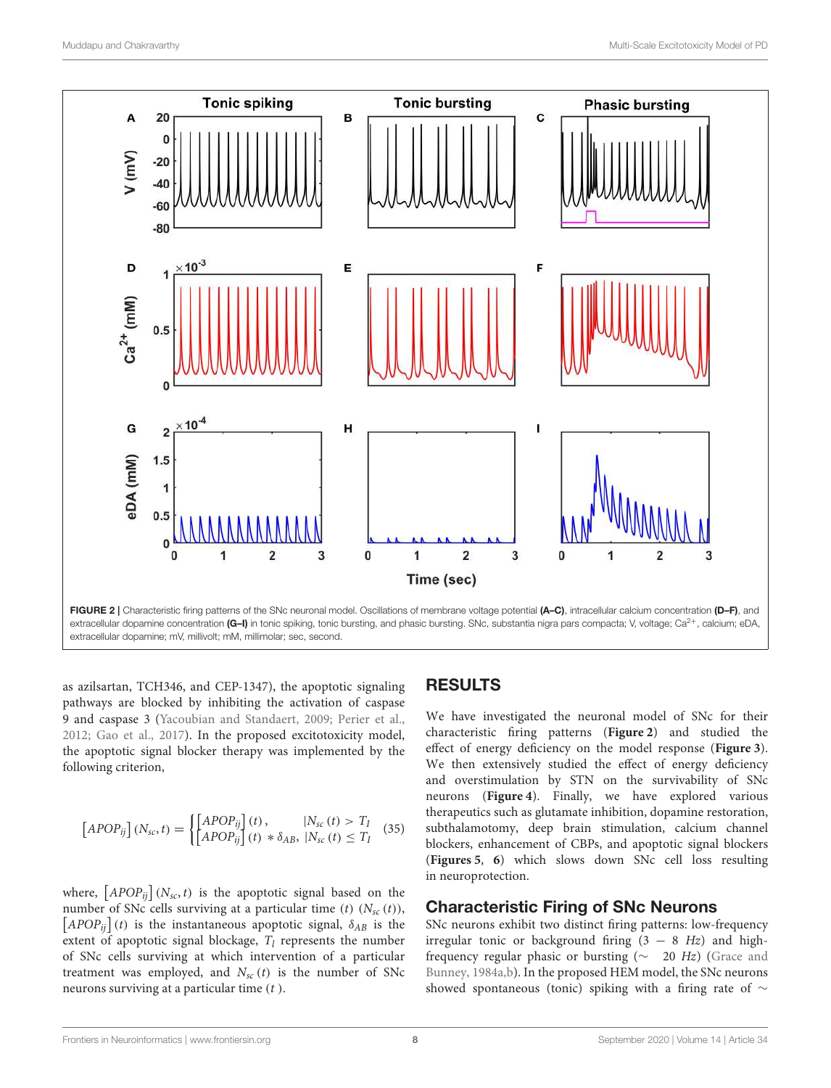

extracellular dopamine; mV, millivolt; mM, millimolar; sec, second.

as azilsartan, TCH346, and CEP-1347), the apoptotic signaling pathways are blocked by inhibiting the activation of caspase 9 and caspase 3 (Yacoubian and Standaert, 2009; Perier et al., 2012; Gao et al., 2017). In the proposed excitotoxicity model, the apoptotic signal blocker therapy was implemented by the following criterion,

$$
[APOP_{ij}](N_{sc}, t) = \begin{cases} [APOP_{ij}](t), & |N_{sc}(t) > T_I \\ [APOP_{ij}](t) * \delta_{AB}, |N_{sc}(t) \le T_I \end{cases}
$$
(35)

where,  $[{\mathit{APOP}}_{ij}]$  ( $N_{sc}, t$ ) is the apoptotic signal based on the number of SNc cells surviving at a particular time (t)  $(N_{sc}(t))$ ,  $[APOP_{ij}]$  (*t*) is the instantaneous apoptotic signal,  $\delta_{AB}$  is the extent of apoptotic signal blockage,  $T_l$  represents the number of SNc cells surviving at which intervention of a particular treatment was employed, and  $N_{sc}(t)$  is the number of SNc neurons surviving at a particular time (t ).

### RESULTS

We have investigated the neuronal model of SNc for their characteristic firing patterns (**Figure 2**) and studied the effect of energy deficiency on the model response (**Figure 3**). We then extensively studied the effect of energy deficiency and overstimulation by STN on the survivability of SNc neurons (**Figure 4**). Finally, we have explored various therapeutics such as glutamate inhibition, dopamine restoration, subthalamotomy, deep brain stimulation, calcium channel blockers, enhancement of CBPs, and apoptotic signal blockers (**Figures 5**, **6**) which slows down SNc cell loss resulting in neuroprotection.

### Characteristic Firing of SNc Neurons

SNc neurons exhibit two distinct firing patterns: low-frequency irregular tonic or background firing  $(3 - 8 Hz)$  and highfrequency regular phasic or bursting ( $\sim$  20 Hz) (Grace and Bunney, 1984a,b). In the proposed HEM model, the SNc neurons showed spontaneous (tonic) spiking with a firing rate of ∼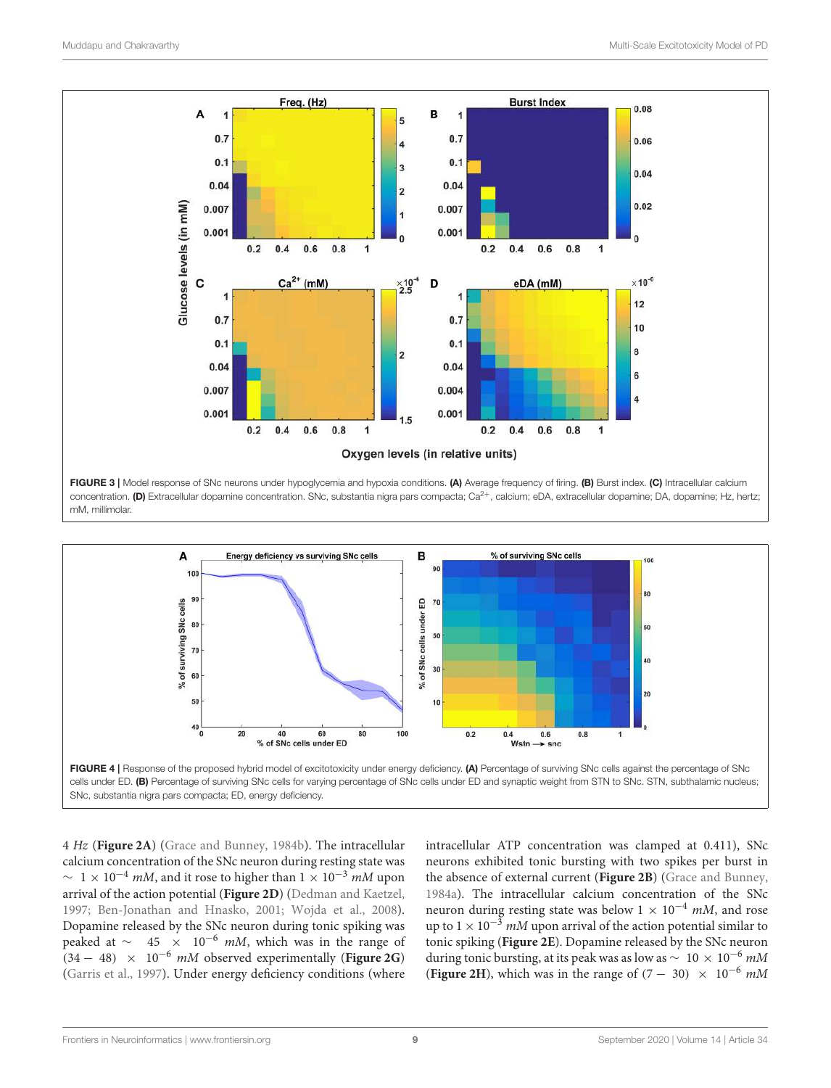



4 Hz (**Figure 2A**) (Grace and Bunney, 1984b). The intracellular calcium concentration of the SNc neuron during resting state was  $\sim 1 \times 10^{-4}$  mM, and it rose to higher than  $1 \times 10^{-3}$  mM upon arrival of the action potential (**Figure 2D**) (Dedman and Kaetzel, 1997; Ben-Jonathan and Hnasko, 2001; Wojda et al., 2008). Dopamine released by the SNc neuron during tonic spiking was peaked at  $\sim$  45 × 10<sup>-6</sup> mM, which was in the range of (34 − 48) × 10−<sup>6</sup> mM observed experimentally (**Figure 2G**) (Garris et al., 1997). Under energy deficiency conditions (where intracellular ATP concentration was clamped at 0.411), SNc neurons exhibited tonic bursting with two spikes per burst in the absence of external current (**Figure 2B**) (Grace and Bunney, 1984a). The intracellular calcium concentration of the SNc neuron during resting state was below  $1 \times 10^{-4}$  mM, and rose up to  $1 \times 10^{-3}$  mM upon arrival of the action potential similar to tonic spiking (**Figure 2E**). Dopamine released by the SNc neuron during tonic bursting, at its peak was as low as  $\sim 10 \times 10^{-6}$  mM (**Figure 2H**), which was in the range of  $(7 - 30) \times 10^{-6}$  mM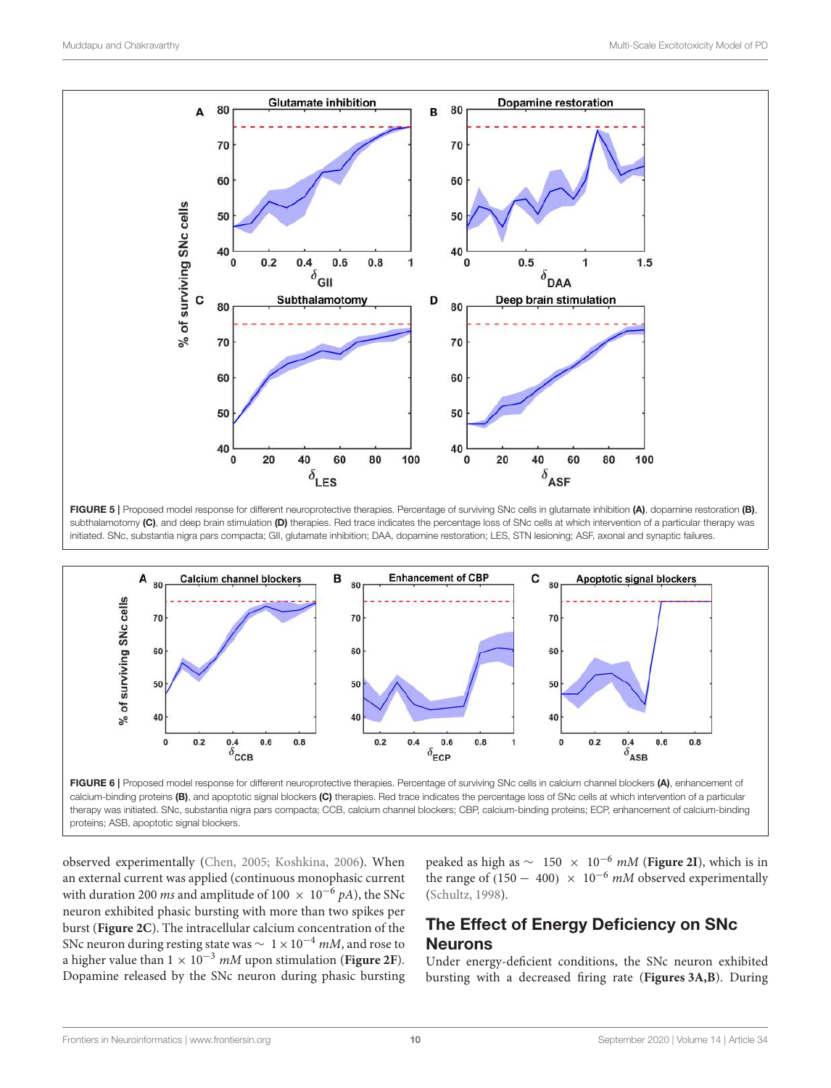

FIGURE 5 | Proposed model response for different neuroprotective therapies. Percentage of surviving SNc cells in glutamate inhibition (A), dopamine restoration (B), subthalamotomy  $(C)$ , and deep brain stimulation  $(D)$  therapies. Red trace indicates the percentage loss of SNc cells at which intervention of a particular therapy was initiated. SNc, substantia nigra pars compacta; GII, glutamate inhibition; DAA, dopamine restoration; LES, STN lesioning; ASF, axonal and synaptic failures.



proteins; ASB, apoptotic signal blockers.

observed experimentally (Chen, 2005; Koshkina, 2006). When an external current was applied (continuous monophasic current with duration 200 ms and amplitude of 100  $\times$  10<sup>-6</sup> pA), the SNc neuron exhibited phasic bursting with more than two spikes per burst (**Figure 2C**). The intracellular calcium concentration of the SNc neuron during resting state was  $\sim 1 \times 10^{-4}$  mM, and rose to a higher value than  $1 \times 10^{-3}$  mM upon stimulation (**Figure 2F**). Dopamine released by the SNc neuron during phasic bursting

peaked as high as  $\sim 150 \times 10^{-6}$  mM (**Figure 2I**), which is in the range of (150  $-$  400) × 10<sup>-6</sup> mM observed experimentally (Schultz, 1998).

# The Effect of Energy Deficiency on SNc Neurons

Under energy-deficient conditions, the SNc neuron exhibited bursting with a decreased firing rate (**Figures 3A,B**). During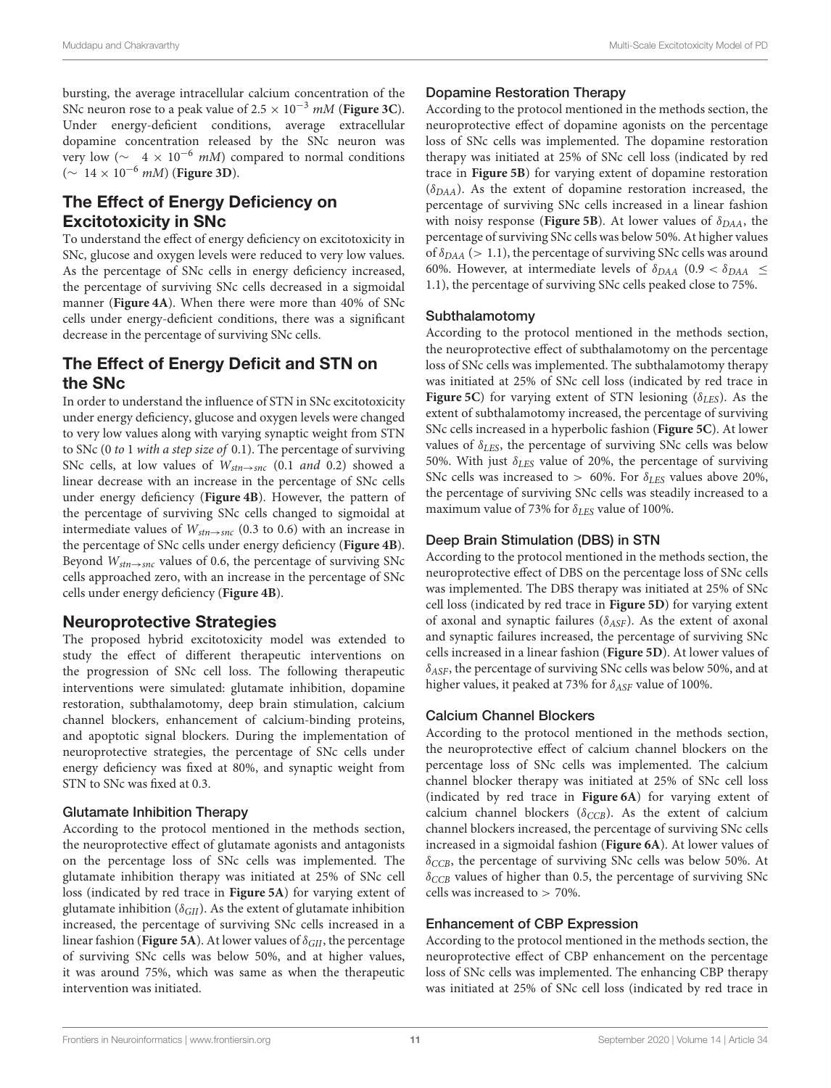bursting, the average intracellular calcium concentration of the SNc neuron rose to a peak value of  $2.5 \times 10^{-3}$  mM (**Figure 3C**). Under energy-deficient conditions, average extracellular dopamine concentration released by the SNc neuron was very low ( $\sim$  4 × 10<sup>-6</sup> mM) compared to normal conditions (∼ 14 × 10−<sup>6</sup> mM) (**Figure 3D**).

# The Effect of Energy Deficiency on Excitotoxicity in SNc

To understand the effect of energy deficiency on excitotoxicity in SNc, glucose and oxygen levels were reduced to very low values. As the percentage of SNc cells in energy deficiency increased, the percentage of surviving SNc cells decreased in a sigmoidal manner (**Figure 4A**). When there were more than 40% of SNc cells under energy-deficient conditions, there was a significant decrease in the percentage of surviving SNc cells.

# The Effect of Energy Deficit and STN on the SNc

In order to understand the influence of STN in SNc excitotoxicity under energy deficiency, glucose and oxygen levels were changed to very low values along with varying synaptic weight from STN to SNc (0 to 1 with a step size of 0.1). The percentage of surviving SNc cells, at low values of  $W_{stn\rightarrow snc}$  (0.1 and 0.2) showed a linear decrease with an increase in the percentage of SNc cells under energy deficiency (**Figure 4B**). However, the pattern of the percentage of surviving SNc cells changed to sigmoidal at intermediate values of  $W_{\text{str}\rightarrow\text{snc}}$  (0.3 to 0.6) with an increase in the percentage of SNc cells under energy deficiency (**Figure 4B**). Beyond  $W_{\text{str}\rightarrow\text{snc}}$  values of 0.6, the percentage of surviving SNc cells approached zero, with an increase in the percentage of SNc cells under energy deficiency (**Figure 4B**).

# Neuroprotective Strategies

The proposed hybrid excitotoxicity model was extended to study the effect of different therapeutic interventions on the progression of SNc cell loss. The following therapeutic interventions were simulated: glutamate inhibition, dopamine restoration, subthalamotomy, deep brain stimulation, calcium channel blockers, enhancement of calcium-binding proteins, and apoptotic signal blockers. During the implementation of neuroprotective strategies, the percentage of SNc cells under energy deficiency was fixed at 80%, and synaptic weight from STN to SNc was fixed at 0.3.

### Glutamate Inhibition Therapy

According to the protocol mentioned in the methods section, the neuroprotective effect of glutamate agonists and antagonists on the percentage loss of SNc cells was implemented. The glutamate inhibition therapy was initiated at 25% of SNc cell loss (indicated by red trace in **Figure 5A**) for varying extent of glutamate inhibition ( $\delta$ <sub>GII</sub>). As the extent of glutamate inhibition increased, the percentage of surviving SNc cells increased in a linear fashion (**Figure 5A**). At lower values of  $\delta$ <sub>GII</sub>, the percentage of surviving SNc cells was below 50%, and at higher values, it was around 75%, which was same as when the therapeutic intervention was initiated.

### Dopamine Restoration Therapy

According to the protocol mentioned in the methods section, the neuroprotective effect of dopamine agonists on the percentage loss of SNc cells was implemented. The dopamine restoration therapy was initiated at 25% of SNc cell loss (indicated by red trace in **Figure 5B**) for varying extent of dopamine restoration  $(\delta_{DAA})$ . As the extent of dopamine restoration increased, the percentage of surviving SNc cells increased in a linear fashion with noisy response (Figure 5B). At lower values of  $\delta_{DAA}$ , the percentage of surviving SNc cells was below 50%. At higher values of  $\delta_{DAA}$  (> 1.1), the percentage of surviving SNc cells was around 60%. However, at intermediate levels of  $\delta_{DAA}$  (0.9 <  $\delta_{DAA} \leq$ 1.1), the percentage of surviving SNc cells peaked close to 75%.

### Subthalamotomy

According to the protocol mentioned in the methods section, the neuroprotective effect of subthalamotomy on the percentage loss of SNc cells was implemented. The subthalamotomy therapy was initiated at 25% of SNc cell loss (indicated by red trace in **Figure 5C**) for varying extent of STN lesioning ( $\delta$ <sub>LES</sub>). As the extent of subthalamotomy increased, the percentage of surviving SNc cells increased in a hyperbolic fashion (**Figure 5C**). At lower values of  $\delta_{LES}$ , the percentage of surviving SNc cells was below 50%. With just  $\delta$ LES value of 20%, the percentage of surviving SNc cells was increased to  $> 60\%$ . For  $\delta_{LES}$  values above 20%, the percentage of surviving SNc cells was steadily increased to a maximum value of 73% for  $\delta_{LES}$  value of 100%.

### Deep Brain Stimulation (DBS) in STN

According to the protocol mentioned in the methods section, the neuroprotective effect of DBS on the percentage loss of SNc cells was implemented. The DBS therapy was initiated at 25% of SNc cell loss (indicated by red trace in **Figure 5D**) for varying extent of axonal and synaptic failures ( $\delta_{ASF}$ ). As the extent of axonal and synaptic failures increased, the percentage of surviving SNc cells increased in a linear fashion (**Figure 5D**). At lower values of  $\delta_{\text{ASF}}$ , the percentage of surviving SNc cells was below 50%, and at higher values, it peaked at 73% for  $\delta_{ASF}$  value of 100%.

### Calcium Channel Blockers

According to the protocol mentioned in the methods section, the neuroprotective effect of calcium channel blockers on the percentage loss of SNc cells was implemented. The calcium channel blocker therapy was initiated at 25% of SNc cell loss (indicated by red trace in **Figure 6A**) for varying extent of calcium channel blockers ( $\delta_{CCB}$ ). As the extent of calcium channel blockers increased, the percentage of surviving SNc cells increased in a sigmoidal fashion (**Figure 6A**). At lower values of  $\delta_{\text{CCB}}$ , the percentage of surviving SNc cells was below 50%. At  $\delta_{\text{CCB}}$  values of higher than 0.5, the percentage of surviving SNc cells was increased to  $> 70\%$ .

### Enhancement of CBP Expression

According to the protocol mentioned in the methods section, the neuroprotective effect of CBP enhancement on the percentage loss of SNc cells was implemented. The enhancing CBP therapy was initiated at 25% of SNc cell loss (indicated by red trace in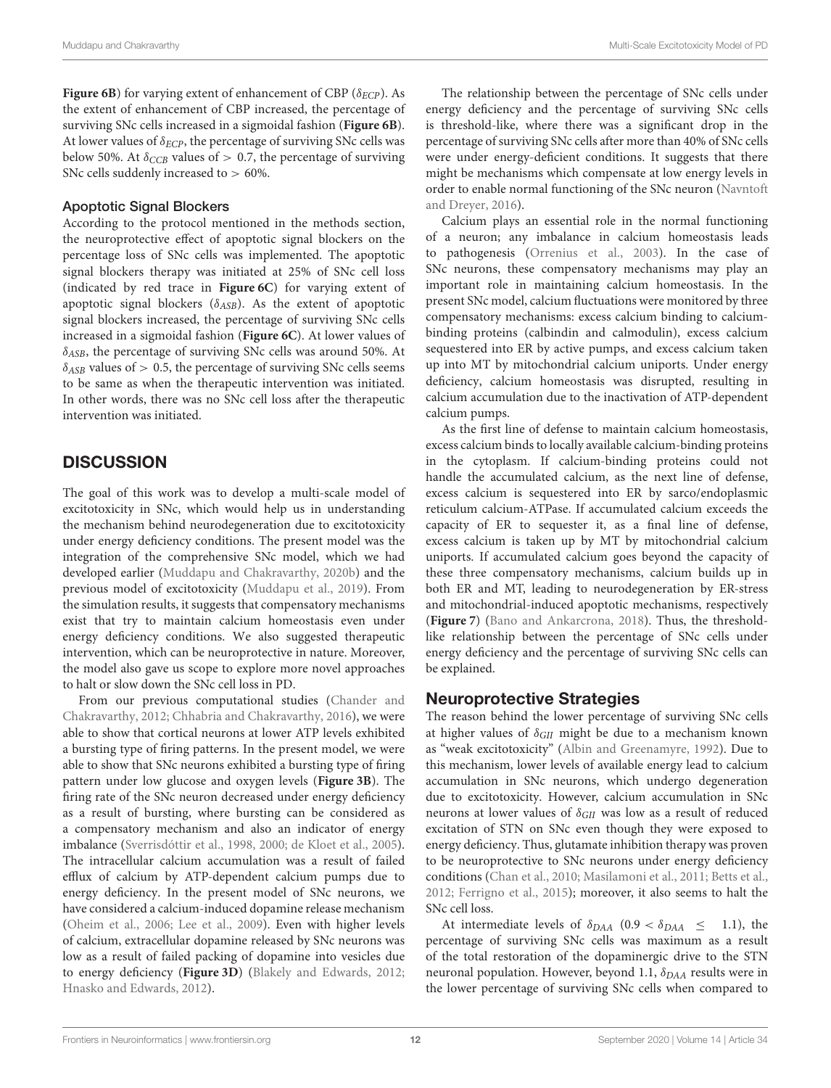**Figure 6B**) for varying extent of enhancement of CBP ( $\delta_{ECP}$ ). As the extent of enhancement of CBP increased, the percentage of surviving SNc cells increased in a sigmoidal fashion (**Figure 6B**). At lower values of  $\delta_{ECP}$ , the percentage of surviving SNc cells was below 50%. At  $\delta_{CCB}$  values of > 0.7, the percentage of surviving SNc cells suddenly increased to  $> 60\%$ .

### Apoptotic Signal Blockers

According to the protocol mentioned in the methods section, the neuroprotective effect of apoptotic signal blockers on the percentage loss of SNc cells was implemented. The apoptotic signal blockers therapy was initiated at 25% of SNc cell loss (indicated by red trace in **Figure 6C**) for varying extent of apoptotic signal blockers ( $\delta_{ASB}$ ). As the extent of apoptotic signal blockers increased, the percentage of surviving SNc cells increased in a sigmoidal fashion (**Figure 6C**). At lower values of  $\delta$ <sub>ASB</sub>, the percentage of surviving SNc cells was around 50%. At  $\delta_{ASB}$  values of  $> 0.5$ , the percentage of surviving SNc cells seems to be same as when the therapeutic intervention was initiated. In other words, there was no SNc cell loss after the therapeutic intervention was initiated.

### **DISCUSSION**

The goal of this work was to develop a multi-scale model of excitotoxicity in SNc, which would help us in understanding the mechanism behind neurodegeneration due to excitotoxicity under energy deficiency conditions. The present model was the integration of the comprehensive SNc model, which we had developed earlier (Muddapu and Chakravarthy, 2020b) and the previous model of excitotoxicity (Muddapu et al., 2019). From the simulation results, it suggests that compensatory mechanisms exist that try to maintain calcium homeostasis even under energy deficiency conditions. We also suggested therapeutic intervention, which can be neuroprotective in nature. Moreover, the model also gave us scope to explore more novel approaches to halt or slow down the SNc cell loss in PD.

From our previous computational studies (Chander and Chakravarthy, 2012; Chhabria and Chakravarthy, 2016), we were able to show that cortical neurons at lower ATP levels exhibited a bursting type of firing patterns. In the present model, we were able to show that SNc neurons exhibited a bursting type of firing pattern under low glucose and oxygen levels (**Figure 3B**). The firing rate of the SNc neuron decreased under energy deficiency as a result of bursting, where bursting can be considered as a compensatory mechanism and also an indicator of energy imbalance (Sverrisdóttir et al., 1998, 2000; de Kloet et al., 2005). The intracellular calcium accumulation was a result of failed efflux of calcium by ATP-dependent calcium pumps due to energy deficiency. In the present model of SNc neurons, we have considered a calcium-induced dopamine release mechanism (Oheim et al., 2006; Lee et al., 2009). Even with higher levels of calcium, extracellular dopamine released by SNc neurons was low as a result of failed packing of dopamine into vesicles due to energy deficiency (**Figure 3D**) (Blakely and Edwards, 2012; Hnasko and Edwards, 2012).

The relationship between the percentage of SNc cells under energy deficiency and the percentage of surviving SNc cells is threshold-like, where there was a significant drop in the percentage of surviving SNc cells after more than 40% of SNc cells were under energy-deficient conditions. It suggests that there might be mechanisms which compensate at low energy levels in order to enable normal functioning of the SNc neuron (Navntoft and Dreyer, 2016).

Calcium plays an essential role in the normal functioning of a neuron; any imbalance in calcium homeostasis leads to pathogenesis (Orrenius et al., 2003). In the case of SNc neurons, these compensatory mechanisms may play an important role in maintaining calcium homeostasis. In the present SNc model, calcium fluctuations were monitored by three compensatory mechanisms: excess calcium binding to calciumbinding proteins (calbindin and calmodulin), excess calcium sequestered into ER by active pumps, and excess calcium taken up into MT by mitochondrial calcium uniports. Under energy deficiency, calcium homeostasis was disrupted, resulting in calcium accumulation due to the inactivation of ATP-dependent calcium pumps.

As the first line of defense to maintain calcium homeostasis, excess calcium binds to locally available calcium-binding proteins in the cytoplasm. If calcium-binding proteins could not handle the accumulated calcium, as the next line of defense, excess calcium is sequestered into ER by sarco/endoplasmic reticulum calcium-ATPase. If accumulated calcium exceeds the capacity of ER to sequester it, as a final line of defense, excess calcium is taken up by MT by mitochondrial calcium uniports. If accumulated calcium goes beyond the capacity of these three compensatory mechanisms, calcium builds up in both ER and MT, leading to neurodegeneration by ER-stress and mitochondrial-induced apoptotic mechanisms, respectively (**Figure 7**) (Bano and Ankarcrona, 2018). Thus, the thresholdlike relationship between the percentage of SNc cells under energy deficiency and the percentage of surviving SNc cells can be explained.

### Neuroprotective Strategies

The reason behind the lower percentage of surviving SNc cells at higher values of  $\delta$ <sub>GII</sub> might be due to a mechanism known as "weak excitotoxicity" (Albin and Greenamyre, 1992). Due to this mechanism, lower levels of available energy lead to calcium accumulation in SNc neurons, which undergo degeneration due to excitotoxicity. However, calcium accumulation in SNc neurons at lower values of  $\delta$ <sub>GII</sub> was low as a result of reduced excitation of STN on SNc even though they were exposed to energy deficiency. Thus, glutamate inhibition therapy was proven to be neuroprotective to SNc neurons under energy deficiency conditions (Chan et al., 2010; Masilamoni et al., 2011; Betts et al., 2012; Ferrigno et al., 2015); moreover, it also seems to halt the SNc cell loss.

At intermediate levels of  $\delta_{DAA}$  (0.9 <  $\delta_{DAA}$   $\leq$  1.1), the percentage of surviving SNc cells was maximum as a result of the total restoration of the dopaminergic drive to the STN neuronal population. However, beyond 1.1,  $\delta_{DAA}$  results were in the lower percentage of surviving SNc cells when compared to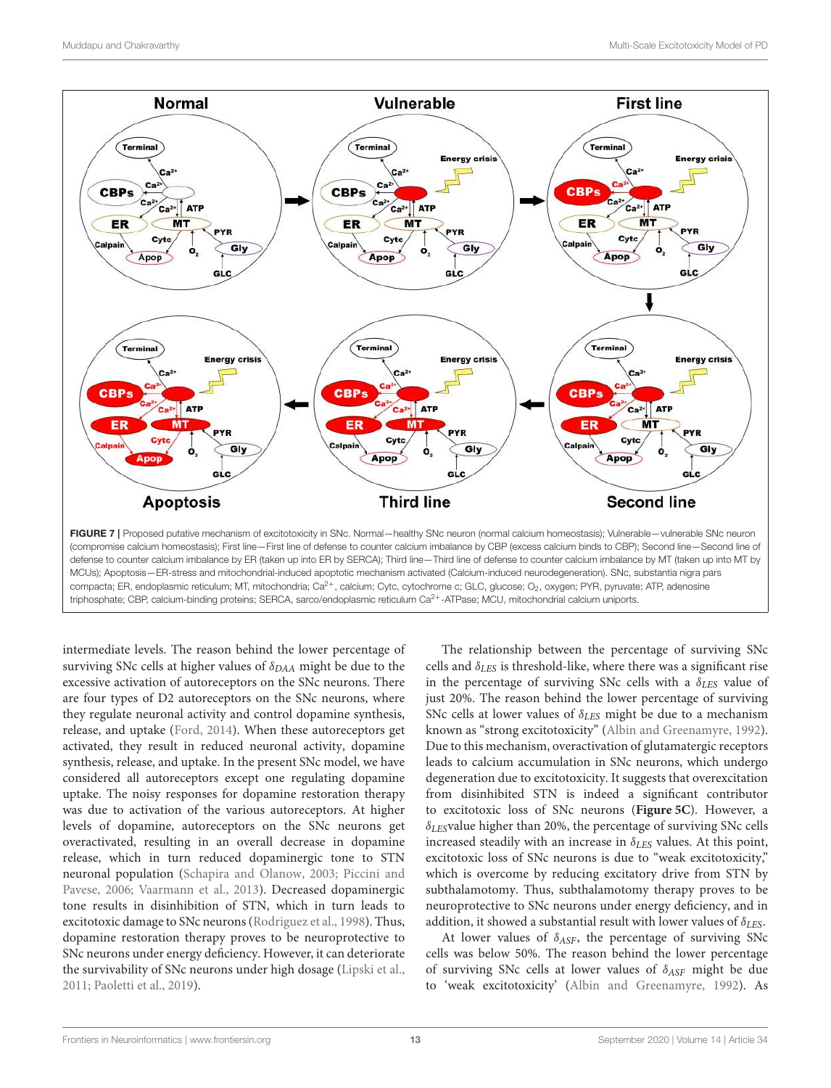

intermediate levels. The reason behind the lower percentage of surviving SNc cells at higher values of  $\delta_{DAA}$  might be due to the excessive activation of autoreceptors on the SNc neurons. There are four types of D2 autoreceptors on the SNc neurons, where they regulate neuronal activity and control dopamine synthesis, release, and uptake (Ford, 2014). When these autoreceptors get activated, they result in reduced neuronal activity, dopamine synthesis, release, and uptake. In the present SNc model, we have considered all autoreceptors except one regulating dopamine uptake. The noisy responses for dopamine restoration therapy was due to activation of the various autoreceptors. At higher levels of dopamine, autoreceptors on the SNc neurons get overactivated, resulting in an overall decrease in dopamine release, which in turn reduced dopaminergic tone to STN neuronal population (Schapira and Olanow, 2003; Piccini and Pavese, 2006; Vaarmann et al., 2013). Decreased dopaminergic tone results in disinhibition of STN, which in turn leads to excitotoxic damage to SNc neurons (Rodriguez et al., 1998). Thus, dopamine restoration therapy proves to be neuroprotective to SNc neurons under energy deficiency. However, it can deteriorate the survivability of SNc neurons under high dosage (Lipski et al., 2011; Paoletti et al., 2019).

The relationship between the percentage of surviving SNc cells and  $\delta_{LES}$  is threshold-like, where there was a significant rise in the percentage of surviving SNc cells with a  $\delta_{LES}$  value of just 20%. The reason behind the lower percentage of surviving SNc cells at lower values of  $\delta_{LES}$  might be due to a mechanism known as "strong excitotoxicity" (Albin and Greenamyre, 1992). Due to this mechanism, overactivation of glutamatergic receptors leads to calcium accumulation in SNc neurons, which undergo degeneration due to excitotoxicity. It suggests that overexcitation from disinhibited STN is indeed a significant contributor to excitotoxic loss of SNc neurons (**Figure 5C**). However, a  $\delta_{LES}$ value higher than 20%, the percentage of surviving SNc cells increased steadily with an increase in  $\delta_{LES}$  values. At this point, excitotoxic loss of SNc neurons is due to "weak excitotoxicity," which is overcome by reducing excitatory drive from STN by subthalamotomy. Thus, subthalamotomy therapy proves to be neuroprotective to SNc neurons under energy deficiency, and in addition, it showed a substantial result with lower values of  $\delta_{LES}$ .

At lower values of  $\delta_{ASF}$ , the percentage of surviving SNc cells was below 50%. The reason behind the lower percentage of surviving SNc cells at lower values of  $\delta_{ASF}$  might be due to 'weak excitotoxicity' (Albin and Greenamyre, 1992). As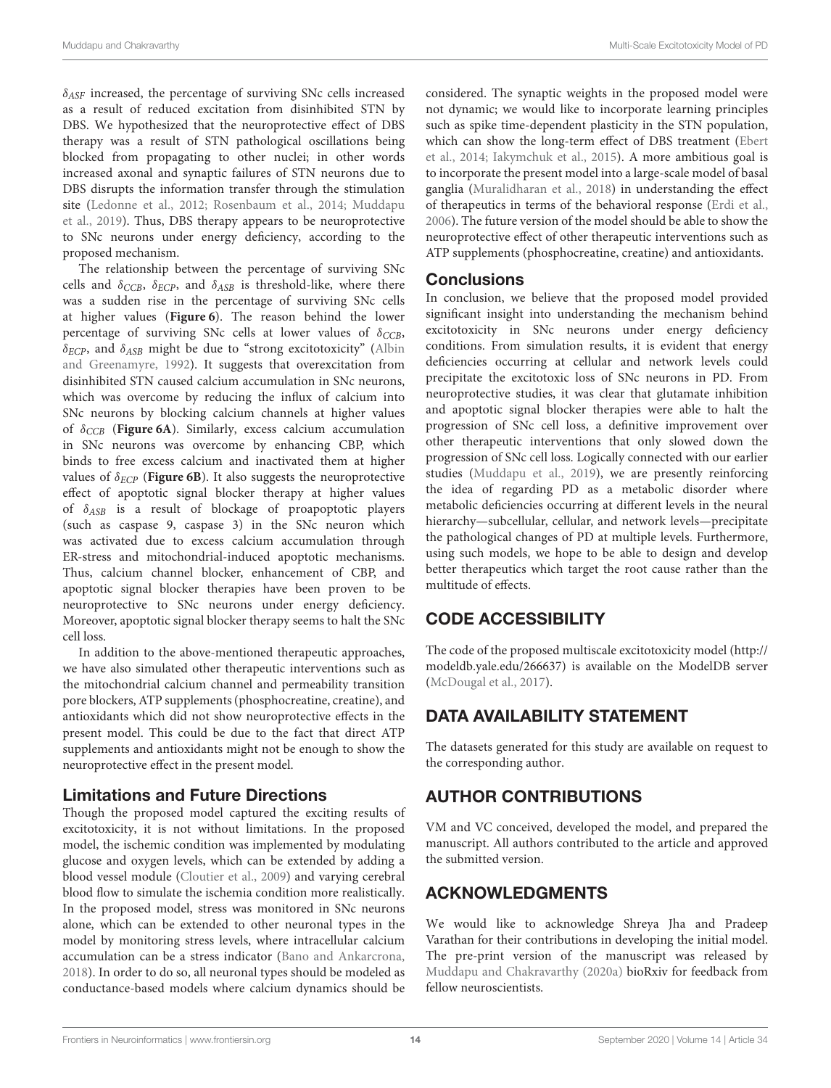$\delta_{ASF}$  increased, the percentage of surviving SNc cells increased as a result of reduced excitation from disinhibited STN by DBS. We hypothesized that the neuroprotective effect of DBS therapy was a result of STN pathological oscillations being blocked from propagating to other nuclei; in other words increased axonal and synaptic failures of STN neurons due to DBS disrupts the information transfer through the stimulation site (Ledonne et al., 2012; Rosenbaum et al., 2014; Muddapu et al., 2019). Thus, DBS therapy appears to be neuroprotective to SNc neurons under energy deficiency, according to the proposed mechanism.

The relationship between the percentage of surviving SNc cells and  $\delta_{CCB}$ ,  $\delta_{ECP}$ , and  $\delta_{ASB}$  is threshold-like, where there was a sudden rise in the percentage of surviving SNc cells at higher values (**Figure 6**). The reason behind the lower percentage of surviving SNc cells at lower values of  $\delta_{CCB}$ ,  $\delta_{ECP}$ , and  $\delta_{ASB}$  might be due to "strong excitotoxicity" (Albin and Greenamyre, 1992). It suggests that overexcitation from disinhibited STN caused calcium accumulation in SNc neurons, which was overcome by reducing the influx of calcium into SNc neurons by blocking calcium channels at higher values of  $\delta_{CCB}$  (**Figure 6A**). Similarly, excess calcium accumulation in SNc neurons was overcome by enhancing CBP, which binds to free excess calcium and inactivated them at higher values of  $\delta_{ECP}$  (**Figure 6B**). It also suggests the neuroprotective effect of apoptotic signal blocker therapy at higher values of δASB is a result of blockage of proapoptotic players (such as caspase 9, caspase 3) in the SNc neuron which was activated due to excess calcium accumulation through ER-stress and mitochondrial-induced apoptotic mechanisms. Thus, calcium channel blocker, enhancement of CBP, and apoptotic signal blocker therapies have been proven to be neuroprotective to SNc neurons under energy deficiency. Moreover, apoptotic signal blocker therapy seems to halt the SNc cell loss.

In addition to the above-mentioned therapeutic approaches, we have also simulated other therapeutic interventions such as the mitochondrial calcium channel and permeability transition pore blockers, ATP supplements (phosphocreatine, creatine), and antioxidants which did not show neuroprotective effects in the present model. This could be due to the fact that direct ATP supplements and antioxidants might not be enough to show the neuroprotective effect in the present model.

### Limitations and Future Directions

Though the proposed model captured the exciting results of excitotoxicity, it is not without limitations. In the proposed model, the ischemic condition was implemented by modulating glucose and oxygen levels, which can be extended by adding a blood vessel module (Cloutier et al., 2009) and varying cerebral blood flow to simulate the ischemia condition more realistically. In the proposed model, stress was monitored in SNc neurons alone, which can be extended to other neuronal types in the model by monitoring stress levels, where intracellular calcium accumulation can be a stress indicator (Bano and Ankarcrona, 2018). In order to do so, all neuronal types should be modeled as conductance-based models where calcium dynamics should be considered. The synaptic weights in the proposed model were not dynamic; we would like to incorporate learning principles such as spike time-dependent plasticity in the STN population, which can show the long-term effect of DBS treatment (Ebert et al., 2014; Iakymchuk et al., 2015). A more ambitious goal is to incorporate the present model into a large-scale model of basal ganglia (Muralidharan et al., 2018) in understanding the effect of therapeutics in terms of the behavioral response (Erdi et al., 2006). The future version of the model should be able to show the neuroprotective effect of other therapeutic interventions such as ATP supplements (phosphocreatine, creatine) and antioxidants.

### **Conclusions**

In conclusion, we believe that the proposed model provided significant insight into understanding the mechanism behind excitotoxicity in SNc neurons under energy deficiency conditions. From simulation results, it is evident that energy deficiencies occurring at cellular and network levels could precipitate the excitotoxic loss of SNc neurons in PD. From neuroprotective studies, it was clear that glutamate inhibition and apoptotic signal blocker therapies were able to halt the progression of SNc cell loss, a definitive improvement over other therapeutic interventions that only slowed down the progression of SNc cell loss. Logically connected with our earlier studies (Muddapu et al., 2019), we are presently reinforcing the idea of regarding PD as a metabolic disorder where metabolic deficiencies occurring at different levels in the neural hierarchy—subcellular, cellular, and network levels—precipitate the pathological changes of PD at multiple levels. Furthermore, using such models, we hope to be able to design and develop better therapeutics which target the root cause rather than the multitude of effects.

# CODE ACCESSIBILITY

The code of the proposed multiscale excitotoxicity model (http:// modeldb.yale.edu/266637) is available on the ModelDB server (McDougal et al., 2017).

# DATA AVAILABILITY STATEMENT

The datasets generated for this study are available on request to the corresponding author.

# AUTHOR CONTRIBUTIONS

VM and VC conceived, developed the model, and prepared the manuscript. All authors contributed to the article and approved the submitted version.

# ACKNOWLEDGMENTS

We would like to acknowledge Shreya Jha and Pradeep Varathan for their contributions in developing the initial model. The pre-print version of the manuscript was released by Muddapu and Chakravarthy (2020a) bioRxiv for feedback from fellow neuroscientists.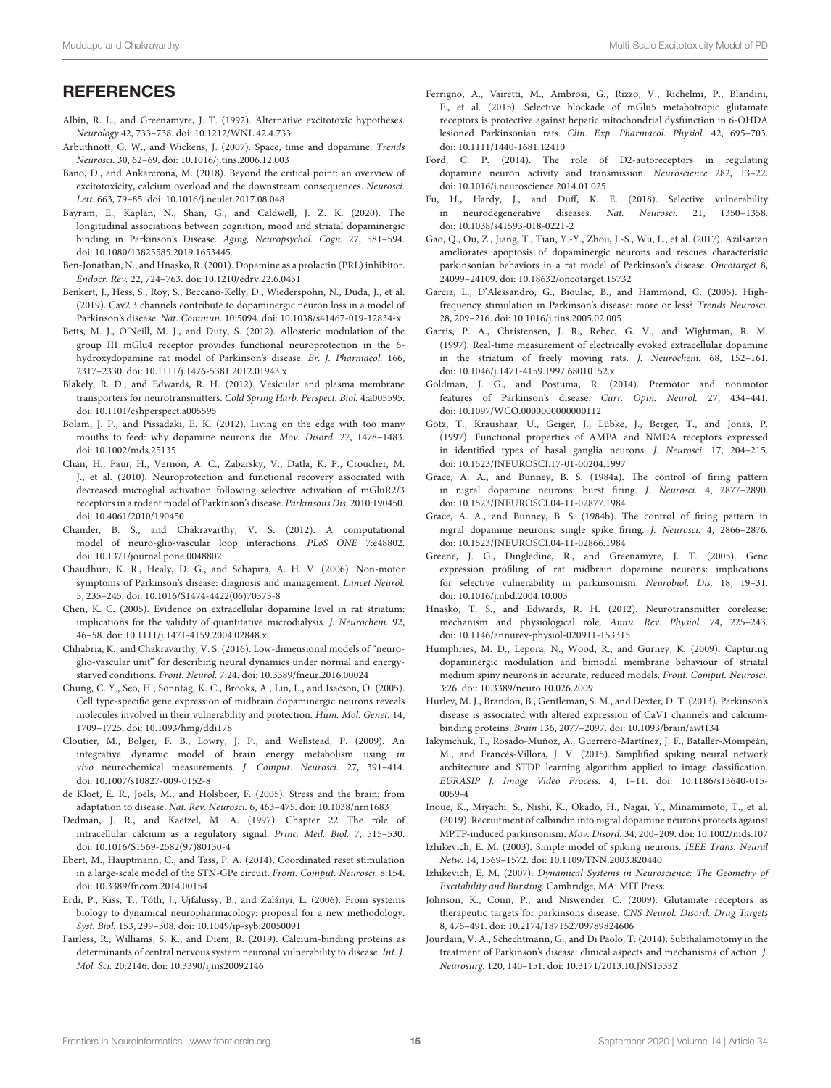## **REFERENCES**

- Albin, R. L., and Greenamyre, J. T. (1992). Alternative excitotoxic hypotheses. Neurology 42, 733–738. doi: 10.1212/WNL.42.4.733
- Arbuthnott, G. W., and Wickens, J. (2007). Space, time and dopamine. Trends Neurosci. 30, 62–69. doi: 10.1016/j.tins.2006.12.003
- Bano, D., and Ankarcrona, M. (2018). Beyond the critical point: an overview of excitotoxicity, calcium overload and the downstream consequences. Neurosci. Lett. 663, 79–85. doi: 10.1016/j.neulet.2017.08.048
- Bayram, E., Kaplan, N., Shan, G., and Caldwell, J. Z. K. (2020). The longitudinal associations between cognition, mood and striatal dopaminergic binding in Parkinson's Disease. Aging, Neuropsychol. Cogn. 27, 581–594. doi: 10.1080/13825585.2019.1653445.
- Ben-Jonathan, N., and Hnasko, R. (2001). Dopamine as a prolactin (PRL) inhibitor. Endocr. Rev. 22, 724–763. doi: 10.1210/edrv.22.6.0451
- Benkert, J., Hess, S., Roy, S., Beccano-Kelly, D., Wiederspohn, N., Duda, J., et al. (2019). Cav2.3 channels contribute to dopaminergic neuron loss in a model of Parkinson's disease. Nat. Commun. 10:5094. doi: 10.1038/s41467-019-12834-x
- Betts, M. J., O'Neill, M. J., and Duty, S. (2012). Allosteric modulation of the group III mGlu4 receptor provides functional neuroprotection in the 6 hydroxydopamine rat model of Parkinson's disease. Br. J. Pharmacol. 166, 2317–2330. doi: 10.1111/j.1476-5381.2012.01943.x
- Blakely, R. D., and Edwards, R. H. (2012). Vesicular and plasma membrane transporters for neurotransmitters. Cold Spring Harb. Perspect. Biol. 4:a005595. doi: 10.1101/cshperspect.a005595
- Bolam, J. P., and Pissadaki, E. K. (2012). Living on the edge with too many mouths to feed: why dopamine neurons die. Mov. Disord. 27, 1478–1483. doi: 10.1002/mds.25135
- Chan, H., Paur, H., Vernon, A. C., Zabarsky, V., Datla, K. P., Croucher, M. J., et al. (2010). Neuroprotection and functional recovery associated with decreased microglial activation following selective activation of mGluR2/3 receptors in a rodent model of Parkinson's disease. Parkinsons Dis. 2010:190450. doi: 10.4061/2010/190450
- Chander, B. S., and Chakravarthy, V. S. (2012). A computational model of neuro-glio-vascular loop interactions. PLoS ONE 7:e48802. doi: 10.1371/journal.pone.0048802
- Chaudhuri, K. R., Healy, D. G., and Schapira, A. H. V. (2006). Non-motor symptoms of Parkinson's disease: diagnosis and management. Lancet Neurol. 5, 235–245. doi: 10.1016/S1474-4422(06)70373-8
- Chen, K. C. (2005). Evidence on extracellular dopamine level in rat striatum: implications for the validity of quantitative microdialysis. J. Neurochem. 92, 46–58. doi: 10.1111/j.1471-4159.2004.02848.x
- Chhabria, K., and Chakravarthy, V. S. (2016). Low-dimensional models of "neuroglio-vascular unit" for describing neural dynamics under normal and energystarved conditions. Front. Neurol. 7:24. doi: 10.3389/fneur.2016.00024
- Chung, C. Y., Seo, H., Sonntag, K. C., Brooks, A., Lin, L., and Isacson, O. (2005). Cell type-specific gene expression of midbrain dopaminergic neurons reveals molecules involved in their vulnerability and protection. Hum. Mol. Genet. 14, 1709–1725. doi: 10.1093/hmg/ddi178
- Cloutier, M., Bolger, F. B., Lowry, J. P., and Wellstead, P. (2009). An integrative dynamic model of brain energy metabolism using in vivo neurochemical measurements. J. Comput. Neurosci. 27, 391–414. doi: 10.1007/s10827-009-0152-8
- de Kloet, E. R., Joëls, M., and Holsboer, F. (2005). Stress and the brain: from adaptation to disease. Nat. Rev. Neurosci. 6, 463–475. doi: 10.1038/nrn1683
- Dedman, J. R., and Kaetzel, M. A. (1997). Chapter 22 The role of intracellular calcium as a regulatory signal. Princ. Med. Biol. 7, 515–530. doi: 10.1016/S1569-2582(97)80130-4
- Ebert, M., Hauptmann, C., and Tass, P. A. (2014). Coordinated reset stimulation in a large-scale model of the STN-GPe circuit. Front. Comput. Neurosci. 8:154. doi: 10.3389/fncom.2014.00154
- Erdi, P., Kiss, T., Tóth, J., Ujfalussy, B., and Zalányi, L. (2006). From systems biology to dynamical neuropharmacology: proposal for a new methodology. Syst. Biol. 153, 299–308. doi: 10.1049/ip-syb:20050091
- Fairless, R., Williams, S. K., and Diem, R. (2019). Calcium-binding proteins as determinants of central nervous system neuronal vulnerability to disease. Int. J. Mol. Sci. 20:2146. doi: 10.3390/ijms20092146
- Ferrigno, A., Vairetti, M., Ambrosi, G., Rizzo, V., Richelmi, P., Blandini, F., et al. (2015). Selective blockade of mGlu5 metabotropic glutamate receptors is protective against hepatic mitochondrial dysfunction in 6-OHDA lesioned Parkinsonian rats. Clin. Exp. Pharmacol. Physiol. 42, 695–703. doi: 10.1111/1440-1681.12410
- Ford, C. P. (2014). The role of D2-autoreceptors in regulating dopamine neuron activity and transmission. Neuroscience 282, 13–22. doi: 10.1016/j.neuroscience.2014.01.025
- Fu, H., Hardy, J., and Duff, K. E. (2018). Selective vulnerability in neurodegenerative diseases. Nat. Neurosci. 21, 1350–1358. doi: 10.1038/s41593-018-0221-2
- Gao, Q., Ou, Z., Jiang, T., Tian, Y.-Y., Zhou, J.-S., Wu, L., et al. (2017). Azilsartan ameliorates apoptosis of dopaminergic neurons and rescues characteristic parkinsonian behaviors in a rat model of Parkinson's disease. Oncotarget 8, 24099–24109. doi: 10.18632/oncotarget.15732
- Garcia, L., D'Alessandro, G., Bioulac, B., and Hammond, C. (2005). Highfrequency stimulation in Parkinson's disease: more or less? Trends Neurosci. 28, 209–216. doi: 10.1016/j.tins.2005.02.005
- Garris, P. A., Christensen, J. R., Rebec, G. V., and Wightman, R. M. (1997). Real-time measurement of electrically evoked extracellular dopamine in the striatum of freely moving rats. J. Neurochem. 68, 152–161. doi: 10.1046/j.1471-4159.1997.68010152.x
- Goldman, J. G., and Postuma, R. (2014). Premotor and nonmotor features of Parkinson's disease. Curr. Opin. Neurol. 27, 434–441. doi: 10.1097/WCO.0000000000000112
- Götz, T., Kraushaar, U., Geiger, J., Lübke, J., Berger, T., and Jonas, P. (1997). Functional properties of AMPA and NMDA receptors expressed in identified types of basal ganglia neurons. J. Neurosci. 17, 204–215. doi: 10.1523/JNEUROSCI.17-01-00204.1997
- Grace, A. A., and Bunney, B. S. (1984a). The control of firing pattern in nigral dopamine neurons: burst firing. J. Neurosci. 4, 2877–2890. doi: 10.1523/JNEUROSCI.04-11-02877.1984
- Grace, A. A., and Bunney, B. S. (1984b). The control of firing pattern in nigral dopamine neurons: single spike firing. J. Neurosci. 4, 2866–2876. doi: 10.1523/JNEUROSCI.04-11-02866.1984
- Greene, J. G., Dingledine, R., and Greenamyre, J. T. (2005). Gene expression profiling of rat midbrain dopamine neurons: implications for selective vulnerability in parkinsonism. Neurobiol. Dis. 18, 19–31. doi: 10.1016/j.nbd.2004.10.003
- Hnasko, T. S., and Edwards, R. H. (2012). Neurotransmitter corelease: mechanism and physiological role. Annu. Rev. Physiol. 74, 225–243. doi: 10.1146/annurev-physiol-020911-153315
- Humphries, M. D., Lepora, N., Wood, R., and Gurney, K. (2009). Capturing dopaminergic modulation and bimodal membrane behaviour of striatal medium spiny neurons in accurate, reduced models. Front. Comput. Neurosci. 3:26. doi: 10.3389/neuro.10.026.2009
- Hurley, M. J., Brandon, B., Gentleman, S. M., and Dexter, D. T. (2013). Parkinson's disease is associated with altered expression of CaV1 channels and calciumbinding proteins. Brain 136, 2077–2097. doi: 10.1093/brain/awt134
- Iakymchuk, T., Rosado-Muñoz, A., Guerrero-Martínez, J. F., Bataller-Mompeán, M., and Francés-Víllora, J. V. (2015). Simplified spiking neural network architecture and STDP learning algorithm applied to image classification. EURASIP J. Image Video Process. 4, 1–11. doi: 10.1186/s13640-015- 0059-4
- Inoue, K., Miyachi, S., Nishi, K., Okado, H., Nagai, Y., Minamimoto, T., et al. (2019). Recruitment of calbindin into nigral dopamine neurons protects against MPTP-induced parkinsonism. Mov. Disord. 34, 200–209. doi: 10.1002/mds.107
- Izhikevich, E. M. (2003). Simple model of spiking neurons. IEEE Trans. Neural Netw. 14, 1569–1572. doi: 10.1109/TNN.2003.820440
- Izhikevich, E. M. (2007). Dynamical Systems in Neuroscience: The Geometry of Excitability and Bursting. Cambridge, MA: MIT Press.
- Johnson, K., Conn, P., and Niswender, C. (2009). Glutamate receptors as therapeutic targets for parkinsons disease. CNS Neurol. Disord. Drug Targets 8, 475–491. doi: 10.2174/187152709789824606
- Jourdain, V. A., Schechtmann, G., and Di Paolo, T. (2014). Subthalamotomy in the treatment of Parkinson's disease: clinical aspects and mechanisms of action. J. Neurosurg. 120, 140–151. doi: 10.3171/2013.10.JNS13332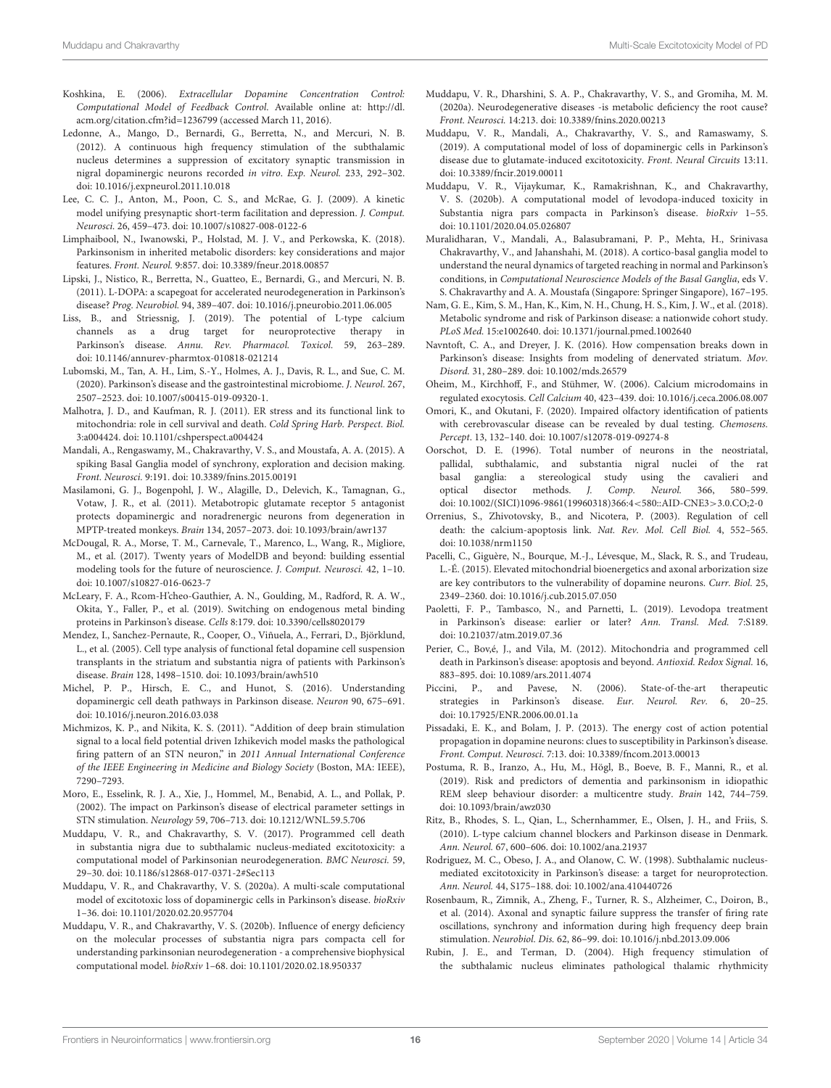- Koshkina, E. (2006). Extracellular Dopamine Concentration Control: Computational Model of Feedback Control. Available online at: http://dl. acm.org/citation.cfm?id=1236799 (accessed March 11, 2016).
- Ledonne, A., Mango, D., Bernardi, G., Berretta, N., and Mercuri, N. B. (2012). A continuous high frequency stimulation of the subthalamic nucleus determines a suppression of excitatory synaptic transmission in nigral dopaminergic neurons recorded in vitro. Exp. Neurol. 233, 292–302. doi: 10.1016/j.expneurol.2011.10.018
- Lee, C. C. J., Anton, M., Poon, C. S., and McRae, G. J. (2009). A kinetic model unifying presynaptic short-term facilitation and depression. J. Comput. Neurosci. 26, 459–473. doi: 10.1007/s10827-008-0122-6
- Limphaibool, N., Iwanowski, P., Holstad, M. J. V., and Perkowska, K. (2018). Parkinsonism in inherited metabolic disorders: key considerations and major features. Front. Neurol. 9:857. doi: 10.3389/fneur.2018.00857
- Lipski, J., Nistico, R., Berretta, N., Guatteo, E., Bernardi, G., and Mercuri, N. B. (2011). L-DOPA: a scapegoat for accelerated neurodegeneration in Parkinson's disease? Prog. Neurobiol. 94, 389–407. doi: 10.1016/j.pneurobio.2011.06.005
- Liss, B., and Striessnig, J. (2019). The potential of L-type calcium channels as a drug target for neuroprotective therapy in Parkinson's disease. Annu. Rev. Pharmacol. Toxicol. 59, 263–289. doi: 10.1146/annurev-pharmtox-010818-021214
- Lubomski, M., Tan, A. H., Lim, S.-Y., Holmes, A. J., Davis, R. L., and Sue, C. M. (2020). Parkinson's disease and the gastrointestinal microbiome. J. Neurol. 267, 2507–2523. doi: 10.1007/s00415-019-09320-1.
- Malhotra, J. D., and Kaufman, R. J. (2011). ER stress and its functional link to mitochondria: role in cell survival and death. Cold Spring Harb. Perspect. Biol. 3:a004424. doi: 10.1101/cshperspect.a004424
- Mandali, A., Rengaswamy, M., Chakravarthy, V. S., and Moustafa, A. A. (2015). A spiking Basal Ganglia model of synchrony, exploration and decision making. Front. Neurosci. 9:191. doi: 10.3389/fnins.2015.00191
- Masilamoni, G. J., Bogenpohl, J. W., Alagille, D., Delevich, K., Tamagnan, G., Votaw, J. R., et al. (2011). Metabotropic glutamate receptor 5 antagonist protects dopaminergic and noradrenergic neurons from degeneration in MPTP-treated monkeys. Brain 134, 2057–2073. doi: 10.1093/brain/awr137
- McDougal, R. A., Morse, T. M., Carnevale, T., Marenco, L., Wang, R., Migliore, M., et al. (2017). Twenty years of ModelDB and beyond: building essential modeling tools for the future of neuroscience. J. Comput. Neurosci. 42, 1–10. doi: 10.1007/s10827-016-0623-7
- McLeary, F. A., Rcom-H'cheo-Gauthier, A. N., Goulding, M., Radford, R. A. W., Okita, Y., Faller, P., et al. (2019). Switching on endogenous metal binding proteins in Parkinson's disease. Cells 8:179. doi: 10.3390/cells8020179
- Mendez, I., Sanchez-Pernaute, R., Cooper, O., Viñuela, A., Ferrari, D., Björklund, L., et al. (2005). Cell type analysis of functional fetal dopamine cell suspension transplants in the striatum and substantia nigra of patients with Parkinson's disease. Brain 128, 1498–1510. doi: 10.1093/brain/awh510
- Michel, P. P., Hirsch, E. C., and Hunot, S. (2016). Understanding dopaminergic cell death pathways in Parkinson disease. Neuron 90, 675–691. doi: 10.1016/j.neuron.2016.03.038
- Michmizos, K. P., and Nikita, K. S. (2011). "Addition of deep brain stimulation signal to a local field potential driven Izhikevich model masks the pathological firing pattern of an STN neuron," in 2011 Annual International Conference of the IEEE Engineering in Medicine and Biology Society (Boston, MA: IEEE), 7290–7293.
- Moro, E., Esselink, R. J. A., Xie, J., Hommel, M., Benabid, A. L., and Pollak, P. (2002). The impact on Parkinson's disease of electrical parameter settings in STN stimulation. Neurology 59, 706–713. doi: 10.1212/WNL.59.5.706
- Muddapu, V. R., and Chakravarthy, S. V. (2017). Programmed cell death in substantia nigra due to subthalamic nucleus-mediated excitotoxicity: a computational model of Parkinsonian neurodegeneration. BMC Neurosci. 59, 29–30. doi: 10.1186/s12868-017-0371-2#Sec113
- Muddapu, V. R., and Chakravarthy, V. S. (2020a). A multi-scale computational model of excitotoxic loss of dopaminergic cells in Parkinson's disease. bioRxiv 1–36. doi: 10.1101/2020.02.20.957704
- Muddapu, V. R., and Chakravarthy, V. S. (2020b). Influence of energy deficiency on the molecular processes of substantia nigra pars compacta cell for understanding parkinsonian neurodegeneration - a comprehensive biophysical computational model. bioRxiv 1–68. doi: 10.1101/2020.02.18.950337
- Muddapu, V. R., Dharshini, S. A. P., Chakravarthy, V. S., and Gromiha, M. M. (2020a). Neurodegenerative diseases -is metabolic deficiency the root cause? Front. Neurosci. 14:213. doi: 10.3389/fnins.2020.00213
- Muddapu, V. R., Mandali, A., Chakravarthy, V. S., and Ramaswamy, S. (2019). A computational model of loss of dopaminergic cells in Parkinson's disease due to glutamate-induced excitotoxicity. Front. Neural Circuits 13:11. doi: 10.3389/fncir.2019.00011
- Muddapu, V. R., Vijaykumar, K., Ramakrishnan, K., and Chakravarthy, V. S. (2020b). A computational model of levodopa-induced toxicity in Substantia nigra pars compacta in Parkinson's disease. bioRxiv 1–55. doi: 10.1101/2020.04.05.026807
- Muralidharan, V., Mandali, A., Balasubramani, P. P., Mehta, H., Srinivasa Chakravarthy, V., and Jahanshahi, M. (2018). A cortico-basal ganglia model to understand the neural dynamics of targeted reaching in normal and Parkinson's conditions, in Computational Neuroscience Models of the Basal Ganglia, eds V. S. Chakravarthy and A. A. Moustafa (Singapore: Springer Singapore), 167–195.
- Nam, G. E., Kim, S. M., Han, K., Kim, N. H., Chung, H. S., Kim, J. W., et al. (2018). Metabolic syndrome and risk of Parkinson disease: a nationwide cohort study. PLoS Med. 15:e1002640. doi: 10.1371/journal.pmed.1002640
- Navntoft, C. A., and Dreyer, J. K. (2016). How compensation breaks down in Parkinson's disease: Insights from modeling of denervated striatum. Mov. Disord. 31, 280–289. doi: 10.1002/mds.26579
- Oheim, M., Kirchhoff, F., and Stühmer, W. (2006). Calcium microdomains in regulated exocytosis. Cell Calcium 40, 423–439. doi: 10.1016/j.ceca.2006.08.007
- Omori, K., and Okutani, F. (2020). Impaired olfactory identification of patients with cerebrovascular disease can be revealed by dual testing. Chemosens. Percept. 13, 132–140. doi: 10.1007/s12078-019-09274-8
- Oorschot, D. E. (1996). Total number of neurons in the neostriatal, pallidal, subthalamic, and substantia nigral nuclei of the rat basal ganglia: a stereological study using the cavalieri and optical disector methods. J. Comp. Neurol. 366, 580–599. doi: 10.1002/(SICI)1096-9861(19960318)366:4<580::AID-CNE3>3.0.CO;2-0
- Orrenius, S., Zhivotovsky, B., and Nicotera, P. (2003). Regulation of cell death: the calcium-apoptosis link. Nat. Rev. Mol. Cell Biol. 4, 552–565. doi: 10.1038/nrm1150
- Pacelli, C., Giguère, N., Bourque, M.-J., Lévesque, M., Slack, R. S., and Trudeau, L.-É. (2015). Elevated mitochondrial bioenergetics and axonal arborization size are key contributors to the vulnerability of dopamine neurons. Curr. Biol. 25, 2349–2360. doi: 10.1016/j.cub.2015.07.050
- Paoletti, F. P., Tambasco, N., and Parnetti, L. (2019). Levodopa treatment in Parkinson's disease: earlier or later? Ann. Transl. Med. 7:S189. doi: 10.21037/atm.2019.07.36
- Perier, C., Bov,é, J., and Vila, M. (2012). Mitochondria and programmed cell death in Parkinson's disease: apoptosis and beyond. Antioxid. Redox Signal. 16, 883–895. doi: 10.1089/ars.2011.4074
- Piccini, P., and Pavese, N. (2006). State-of-the-art therapeutic strategies in Parkinson's disease. Eur. Neurol. Rev. 6, 20–25. doi: 10.17925/ENR.2006.00.01.1a
- Pissadaki, E. K., and Bolam, J. P. (2013). The energy cost of action potential propagation in dopamine neurons: clues to susceptibility in Parkinson's disease. Front. Comput. Neurosci. 7:13. doi: 10.3389/fncom.2013.00013
- Postuma, R. B., Iranzo, A., Hu, M., Högl, B., Boeve, B. F., Manni, R., et al. (2019). Risk and predictors of dementia and parkinsonism in idiopathic REM sleep behaviour disorder: a multicentre study. Brain 142, 744–759. doi: 10.1093/brain/awz030
- Ritz, B., Rhodes, S. L., Qian, L., Schernhammer, E., Olsen, J. H., and Friis, S. (2010). L-type calcium channel blockers and Parkinson disease in Denmark. Ann. Neurol. 67, 600–606. doi: 10.1002/ana.21937
- Rodriguez, M. C., Obeso, J. A., and Olanow, C. W. (1998). Subthalamic nucleusmediated excitotoxicity in Parkinson's disease: a target for neuroprotection. Ann. Neurol. 44, S175–188. doi: 10.1002/ana.410440726
- Rosenbaum, R., Zimnik, A., Zheng, F., Turner, R. S., Alzheimer, C., Doiron, B., et al. (2014). Axonal and synaptic failure suppress the transfer of firing rate oscillations, synchrony and information during high frequency deep brain stimulation. Neurobiol. Dis. 62, 86–99. doi: 10.1016/j.nbd.2013.09.006
- Rubin, J. E., and Terman, D. (2004). High frequency stimulation of the subthalamic nucleus eliminates pathological thalamic rhythmicity